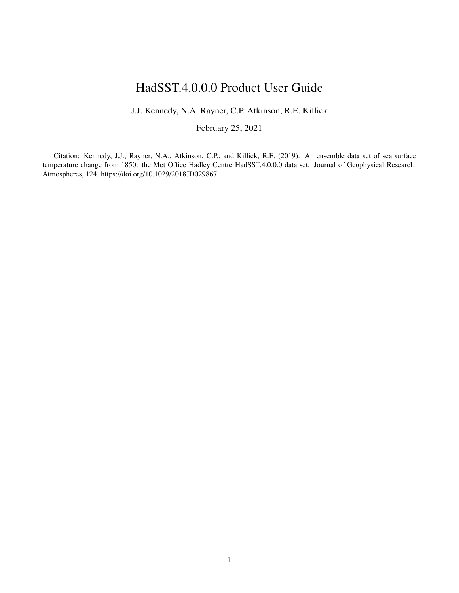# HadSST.4.0.0.0 Product User Guide

J.J. Kennedy, N.A. Rayner, C.P. Atkinson, R.E. Killick

February 25, 2021

Citation: Kennedy, J.J., Rayner, N.A., Atkinson, C.P., and Killick, R.E. (2019). An ensemble data set of sea surface temperature change from 1850: the Met Office Hadley Centre HadSST.4.0.0.0 data set. Journal of Geophysical Research: Atmospheres, 124. https://doi.org/10.1029/2018JD029867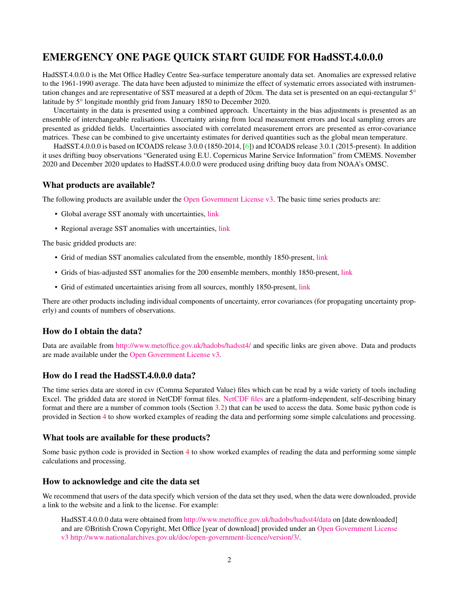# EMERGENCY ONE PAGE QUICK START GUIDE FOR HadSST.4.0.0.0

HadSST.4.0.0.0 is the Met Office Hadley Centre Sea-surface temperature anomaly data set. Anomalies are expressed relative to the 1961-1990 average. The data have been adjusted to minimize the effect of systematic errors associated with instrumentation changes and are representative of SST measured at a depth of 20cm. The data set is presented on an equi-rectangular 5° latitude by 5° longitude monthly grid from January 1850 to December 2020.

Uncertainty in the data is presented using a combined approach. Uncertainty in the bias adjustments is presented as an ensemble of interchangeable realisations. Uncertainty arising from local measurement errors and local sampling errors are presented as gridded fields. Uncertainties associated with correlated measurement errors are presented as error-covariance matrices. These can be combined to give uncertainty estimates for derived quantities such as the global mean temperature.

HadSST.4.0.0.0 is based on ICOADS release 3.0.0 (1850-2014, [\[6\]](#page-31-0)) and ICOADS release 3.0.1 (2015-present). In addition it uses drifting buoy observations "Generated using E.U. Copernicus Marine Service Information" from CMEMS. November 2020 and December 2020 updates to HadSST.4.0.0.0 were produced using drifting buoy data from NOAA's OMSC.

# What products are available?

The following products are available under the [Open Government License v3.](http://www.nationalarchives.gov.uk/doc/open-government-licence/version/3/) The basic time series products are:

- Global average SST anomaly with uncertainties, [link](https://www.metoffice.gov.uk/hadobs/hadsst4/data/csv/HadSST.4.0.0.0_annual_GLOBE.csv)
- Regional average SST anomalies with uncertainties, [link](https://www.metoffice.gov.uk/hadobs/hadsst4/data/download.html)

The basic gridded products are:

- Grid of median SST anomalies calculated from the ensemble, monthly 1850-present, [link](https://www.metoffice.gov.uk/hadobs/hadsst4/data/netcdf/HadSST.4.0.0.0_median.nc)
- Grids of bias-adjusted SST anomalies for the 200 ensemble members, monthly 1850-present, [link](https://www.metoffice.gov.uk/hadobs/hadsst4/data/netcdf/HadSST.4.0.0.0_ensemble.zip)
- Grid of estimated uncertainties arising from all sources, monthly 1850-present, [link](https://www.metoffice.gov.uk/hadobs/hadsst4/data/netcdf/HadSST.4.0.0.0_total_uncertainty.nc)

There are other products including individual components of uncertainty, error covariances (for propagating uncertainty properly) and counts of numbers of observations.

# How do I obtain the data?

Data are available from <http://www.metoffice.gov.uk/hadobs/hadsst4/> and specific links are given above. Data and products are made available under the [Open Government License v3.](http://www.nationalarchives.gov.uk/doc/open-government-licence/version/3/)

# How do I read the HadSST.4.0.0.0 data?

The time series data are stored in csv (Comma Separated Value) files which can be read by a wide variety of tools including Excel. The gridded data are stored in NetCDF format files. [NetCDF files](https://www.unidata.ucar.edu/software/netcdf/) are a platform-independent, self-describing binary format and there are a number of common tools (Section [3.2\)](#page-15-0) that can be used to access the data. Some basic python code is provided in Section [4](#page-22-0) to show worked examples of reading the data and performing some simple calculations and processing.

## What tools are available for these products?

Some basic python code is provided in Section [4](#page-22-0) to show worked examples of reading the data and performing some simple calculations and processing.

# How to acknowledge and cite the data set

We recommend that users of the data specify which version of the data set they used, when the data were downloaded, provide a link to the website and a link to the license. For example:

HadSST.4.0.0.0 data were obtained from <http://www.metoffice.gov.uk/hadobs/hadsst4/data> on [date downloaded] and are ©British Crown Copyright, Met Office [year of download] provided under an [Open Government License](http://www.nationalarchives.gov.uk/doc/open-government-licence/version/3/) [v3](http://www.nationalarchives.gov.uk/doc/open-government-licence/version/3/) [http://www.nationalarchives.gov.uk/doc/open-government-licence/version/3/.](http://www.nationalarchives.gov.uk/doc/open-government-licence/version/3/)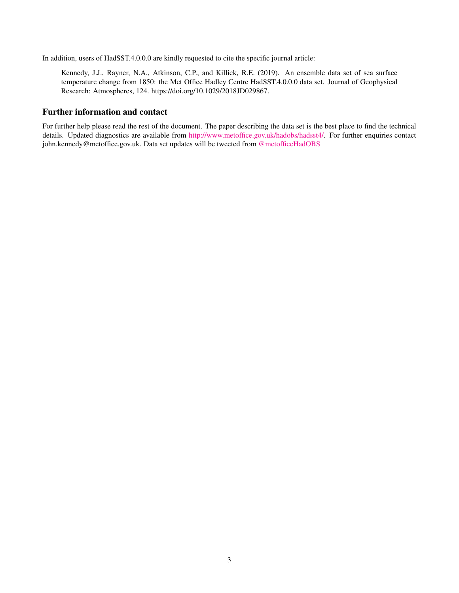In addition, users of HadSST.4.0.0.0 are kindly requested to cite the specific journal article:

Kennedy, J.J., Rayner, N.A., Atkinson, C.P., and Killick, R.E. (2019). An ensemble data set of sea surface temperature change from 1850: the Met Office Hadley Centre HadSST.4.0.0.0 data set. Journal of Geophysical Research: Atmospheres, 124. https://doi.org/10.1029/2018JD029867.

# Further information and contact

For further help please read the rest of the document. The paper describing the data set is the best place to find the technical details. Updated diagnostics are available from [http://www.metoffice.gov.uk/hadobs/hadsst4/.](http://www.metoffice.gov.uk/hadobs/hadsst4/) For further enquiries contact john.kennedy@metoffice.gov.uk. Data set updates will be tweeted from [@metofficeHadOBS](https://twitter.com/metofficeHadOBS)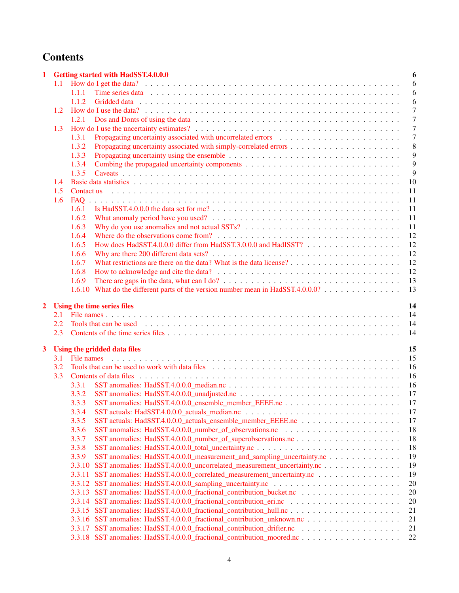# **Contents**

| 1 |     | <b>Getting started with HadSST.4.0.0.0</b>                                       | 6              |
|---|-----|----------------------------------------------------------------------------------|----------------|
|   | 1.1 |                                                                                  | 6              |
|   |     | 1.1.1                                                                            | 6              |
|   |     | 1.1.2                                                                            | 6              |
|   | 1.2 |                                                                                  | $\overline{7}$ |
|   |     | 1.2.1                                                                            | $\overline{7}$ |
|   | 1.3 |                                                                                  | $\overline{7}$ |
|   |     | 1.3.1                                                                            | $\overline{7}$ |
|   |     | 1.3.2                                                                            | 8              |
|   |     | 1.3.3                                                                            | 9              |
|   |     | 1.3.4                                                                            | 9              |
|   |     | 1.3.5                                                                            | 9              |
|   | 1.4 |                                                                                  | 10             |
|   | 1.5 |                                                                                  | 11             |
|   | 1.6 | FAQ                                                                              | 11             |
|   |     | 1.6.1                                                                            | 11             |
|   |     | 1.6.2                                                                            | 11             |
|   |     | 1.6.3                                                                            | 11             |
|   |     | 1.6.4                                                                            | 12             |
|   |     | How does HadSST.4.0.0.0 differ from HadSST.3.0.0.0 and HadISST?<br>1.6.5         | 12             |
|   |     | 1.6.6                                                                            | 12             |
|   |     | 1.6.7                                                                            | 12             |
|   |     | 1.6.8                                                                            | 12             |
|   |     | 1.6.9                                                                            | 13             |
|   |     | 1.6.10 What do the different parts of the version number mean in HadSST.4.0.0.0? | 13             |
|   |     |                                                                                  |                |
| 2 |     | Using the time series files                                                      | 14             |
|   | 2.1 |                                                                                  | 14             |
|   | 2.2 |                                                                                  | 14             |
|   | 2.3 |                                                                                  | 14             |
| 3 |     | Using the gridded data files                                                     | 15             |
|   | 3.1 |                                                                                  | 15             |
|   | 3.2 |                                                                                  | 16             |
|   | 3.3 |                                                                                  | 16             |
|   |     | 3.3.1                                                                            | 16             |
|   |     | 3.3.2                                                                            | 17             |
|   |     |                                                                                  | 17             |
|   |     | 3.3.4                                                                            | 17             |
|   |     | 3.3.5                                                                            | 17             |
|   |     |                                                                                  | 18             |
|   |     | 3.3.6                                                                            |                |
|   |     | 3.3.7                                                                            | 18             |
|   |     | 3.3.8                                                                            | 18             |
|   |     | 3.3.9<br>SST anomalies: HadSST.4.0.0.0_measurement_and_sampling_uncertainty.nc   | 19             |
|   |     | SST anomalies: HadSST.4.0.0.0_uncorrelated_measurement_uncertainty.nc<br>3.3.10  | 19             |
|   |     | SST anomalies: HadSST.4.0.0.0_correlated_measurement_uncertainty.nc<br>3.3.11    | 19             |
|   |     |                                                                                  | 20             |
|   |     |                                                                                  | 20             |
|   |     |                                                                                  | 20             |
|   |     |                                                                                  | 21             |
|   |     |                                                                                  | 21             |
|   |     |                                                                                  | 21             |
|   |     |                                                                                  | 22             |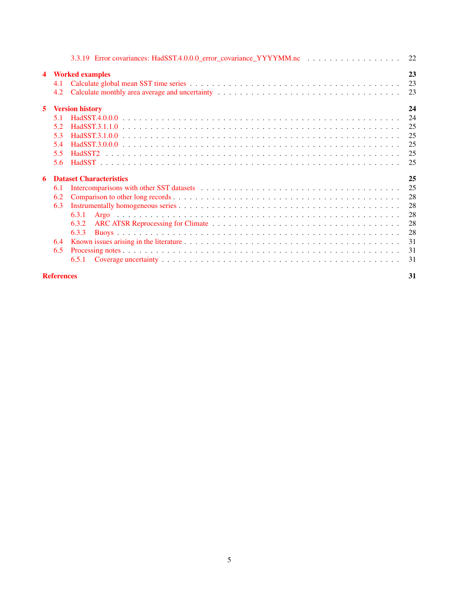|                         |                   | 3.3.19 Error covariances: HadSST.4.0.0.0 error covariance YYYYMM.nc 22 |    |
|-------------------------|-------------------|------------------------------------------------------------------------|----|
| $\overline{\mathbf{4}}$ |                   | <b>Worked examples</b>                                                 | 23 |
|                         | 4.1               |                                                                        | 23 |
|                         | 4.2               |                                                                        | 23 |
| 5                       |                   | <b>Version history</b>                                                 | 24 |
|                         | 5.1               |                                                                        | 24 |
|                         | 5.2               |                                                                        | 25 |
|                         | 5.3               |                                                                        | 25 |
|                         | 5.4               |                                                                        | 25 |
|                         | 5.5               |                                                                        | 25 |
|                         | 5.6               |                                                                        | 25 |
|                         |                   |                                                                        |    |
| 6                       |                   | <b>Dataset Characteristics</b>                                         | 25 |
|                         | 6.1               |                                                                        | 25 |
|                         | 6.2               |                                                                        | 28 |
|                         | 6.3               |                                                                        | 28 |
|                         |                   | 6.3.1                                                                  | 28 |
|                         |                   | 6.3.2                                                                  | 28 |
|                         |                   | 6.3.3                                                                  | 28 |
|                         | 6.4               |                                                                        | 31 |
|                         | 6.5               |                                                                        | 31 |
|                         |                   | 6.5.1                                                                  | 31 |
|                         | <b>References</b> |                                                                        | 31 |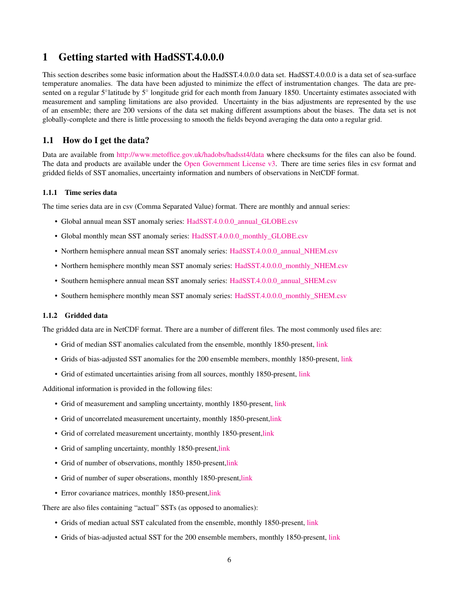# <span id="page-5-0"></span>1 Getting started with HadSST.4.0.0.0

This section describes some basic information about the HadSST.4.0.0.0 data set. HadSST.4.0.0.0 is a data set of sea-surface temperature anomalies. The data have been adjusted to minimize the effect of instrumentation changes. The data are presented on a regular 5°latitude by 5° longitude grid for each month from January 1850. Uncertainty estimates associated with measurement and sampling limitations are also provided. Uncertainty in the bias adjustments are represented by the use of an ensemble; there are 200 versions of the data set making different assumptions about the biases. The data set is not globally-complete and there is little processing to smooth the fields beyond averaging the data onto a regular grid.

# <span id="page-5-1"></span>1.1 How do I get the data?

Data are available from <http://www.metoffice.gov.uk/hadobs/hadsst4/data> where checksums for the files can also be found. The data and products are available under the [Open Government License v3.](http://www.nationalarchives.gov.uk/doc/open-government-licence/version/3/) There are time series files in csv format and gridded fields of SST anomalies, uncertainty information and numbers of observations in NetCDF format.

#### <span id="page-5-2"></span>1.1.1 Time series data

The time series data are in csv (Comma Separated Value) format. There are monthly and annual series:

- Global annual mean SST anomaly series: [HadSST.4.0.0.0\\_annual\\_GLOBE.csv](https://www.metoffice.gov.uk/hadobs/hadsst4/data/csv/HadSST.4.0.0.0_annual_GLOBE.csv)
- Global monthly mean SST anomaly series: [HadSST.4.0.0.0\\_monthly\\_GLOBE.csv](https://www.metoffice.gov.uk/hadobs/hadsst4/data/csv/HadSST.4.0.0.0_monthly_GLOBE.csv)
- Northern hemisphere annual mean SST anomaly series: [HadSST.4.0.0.0\\_annual\\_NHEM.csv](https://www.metoffice.gov.uk/hadobs/hadsst4/data/csv/HadSST.4.0.0.0_annual_NHEM.csv)
- Northern hemisphere monthly mean SST anomaly series: [HadSST.4.0.0.0\\_monthly\\_NHEM.csv](https://www.metoffice.gov.uk/hadobs/hadsst4/data/csv/HadSST.4.0.0.0_monthly_NHEM.csv)
- Southern hemisphere annual mean SST anomaly series: [HadSST.4.0.0.0\\_annual\\_SHEM.csv](https://www.metoffice.gov.uk/hadobs/hadsst4/data/csv/HadSST.4.0.0.0_annual_SHEM.csv)
- Southern hemisphere monthly mean SST anomaly series: [HadSST.4.0.0.0\\_monthly\\_SHEM.csv](https://www.metoffice.gov.uk/hadobs/hadsst4/data/csv/HadSST.4.0.0.0_monthly_SHEM.csv)

#### <span id="page-5-3"></span>1.1.2 Gridded data

The gridded data are in NetCDF format. There are a number of different files. The most commonly used files are:

- Grid of median SST anomalies calculated from the ensemble, monthly 1850-present, [link](https://www.metoffice.gov.uk/hadobs/hadsst4/data/netcdf/HadSST.4.0.0.0_median.nc)
- Grids of bias-adjusted SST anomalies for the 200 ensemble members, monthly 1850-present, [link](https://www.metoffice.gov.uk/hadobs/hadsst4/data/netcdf/HadSST.4.0.0.0_ensemble.zip)
- Grid of estimated uncertainties arising from all sources, monthly 1850-present, [link](https://www.metoffice.gov.uk/hadobs/hadsst4/data/netcdf/HadSST.4.0.0.0_total_uncertainty.nc)

Additional information is provided in the following files:

- Grid of measurement and sampling uncertainty, monthly 1850-present, [link](https://www.metoffice.gov.uk/hadobs/hadsst4/data/netcdf/HadSST.4.0.0.0_measurement_and_sampling_uncertainty.nc)
- Grid of uncorrelated measurement uncertainty, monthly 1850-present[,link](https://www.metoffice.gov.uk/hadobs/hadsst4/data/netcdf/HadSST.4.0.0.0_uncorrelated_measurement_uncertainty.nc)
- Grid of correlated measurement uncertainty, monthly 1850-present[,link](https://www.metoffice.gov.uk/hadobs/hadsst4/data/netcdf/HadSST.4.0.0.0_correlated_measurement_uncertainty.nc)
- Grid of sampling uncertainty, monthly 1850-present[,link](https://www.metoffice.gov.uk/hadobs/hadsst4/data/netcdf/HadSST.4.0.0.0_sampling_uncertainty.nc)
- Grid of number of observations, monthly 1850-present, link
- Grid of number of super obserations, monthly 1850-present[,link](https://www.metoffice.gov.uk/hadobs/hadsst4/data/netcdf/HadSST.4.0.0.0_number_of_superobservations.nc)
- Error covariance matrices, monthly 1850-present[,link](https://www.metoffice.gov.uk/hadobs/hadsst4/data/netcdf/HadSST.4.0.0.0_error_covariance.zip )

There are also files containing "actual" SSTs (as opposed to anomalies):

- Grids of median actual SST calculated from the ensemble, monthly 1850-present, [link](https://www.metoffice.gov.uk/hadobs/hadsst4/data/netcdf/HadSST.4.0.0.0_actuals_median.nc)
- Grids of bias-adjusted actual SST for the 200 ensemble members, monthly 1850-present, [link](https://www.metoffice.gov.uk/hadobs/hadsst4/data/netcdf/HadSST.4.0.0.0_actuals_ensemble.zip)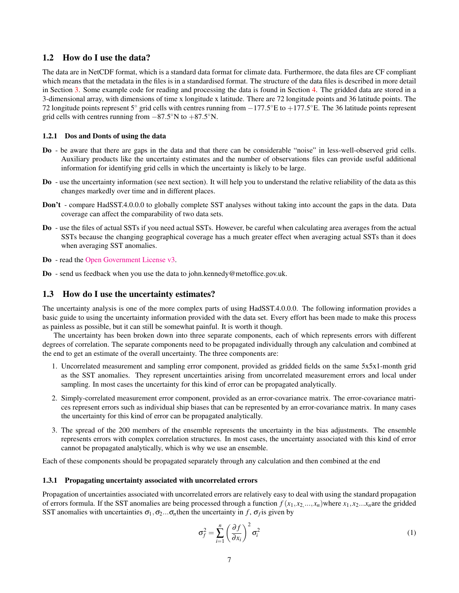## <span id="page-6-0"></span>1.2 How do I use the data?

The data are in NetCDF format, which is a standard data format for climate data. Furthermore, the data files are CF compliant which means that the metadata in the files is in a standardised format. The structure of the data files is described in more detail in Section [3.](#page-14-0) Some example code for reading and processing the data is found in Section [4.](#page-22-0) The gridded data are stored in a 3-dimensional array, with dimensions of time x longitude x latitude. There are 72 longitude points and 36 latitude points. The 72 longitude points represent 5° grid cells with centres running from −177.5°E to +177.5°E. The 36 latitude points represent grid cells with centres running from  $-87.5^{\circ}$ N to  $+87.5^{\circ}$ N.

#### <span id="page-6-1"></span>1.2.1 Dos and Donts of using the data

- Do be aware that there are gaps in the data and that there can be considerable "noise" in less-well-observed grid cells. Auxiliary products like the uncertainty estimates and the number of observations files can provide useful additional information for identifying grid cells in which the uncertainty is likely to be large.
- Do use the uncertainty information (see next section). It will help you to understand the relative reliability of the data as this changes markedly over time and in different places.
- Don't compare HadSST.4.0.0.0 to globally complete SST analyses without taking into account the gaps in the data. Data coverage can affect the comparability of two data sets.
- Do use the files of actual SSTs if you need actual SSTs. However, be careful when calculating area averages from the actual SSTs because the changing geographical coverage has a much greater effect when averaging actual SSTs than it does when averaging SST anomalies.
- Do read the [Open Government License v3.](http://www.nationalarchives.gov.uk/doc/open-government-licence/version/3/)
- Do send us feedback when you use the data to john.kennedy@metoffice.gov.uk.

## <span id="page-6-2"></span>1.3 How do I use the uncertainty estimates?

The uncertainty analysis is one of the more complex parts of using HadSST.4.0.0.0. The following information provides a basic guide to using the uncertainty information provided with the data set. Every effort has been made to make this process as painless as possible, but it can still be somewhat painful. It is worth it though.

The uncertainty has been broken down into three separate components, each of which represents errors with different degrees of correlation. The separate components need to be propagated individually through any calculation and combined at the end to get an estimate of the overall uncertainty. The three components are:

- 1. Uncorrelated measurement and sampling error component, provided as gridded fields on the same 5x5x1-month grid as the SST anomalies. They represent uncertainties arising from uncorrelated measurement errors and local under sampling. In most cases the uncertainty for this kind of error can be propagated analytically.
- 2. Simply-correlated measurement error component, provided as an error-covariance matrix. The error-covariance matrices represent errors such as individual ship biases that can be represented by an error-covariance matrix. In many cases the uncertainty for this kind of error can be propagated analytically.
- 3. The spread of the 200 members of the ensemble represents the uncertainty in the bias adjustments. The ensemble represents errors with complex correlation structures. In most cases, the uncertainty associated with this kind of error cannot be propagated analytically, which is why we use an ensemble.

Each of these components should be propagated separately through any calculation and then combined at the end

#### <span id="page-6-3"></span>1.3.1 Propagating uncertainty associated with uncorrelated errors

Propagation of uncertainties associated with uncorrelated errors are relatively easy to deal with using the standard propagation of errors formula. If the SST anomalies are being processed through a function  $f(x_1, x_2, ..., x_n)$  where  $x_1, x_2...x_n$  are the gridded SST anomalies with uncertainties  $\sigma_1, \sigma_2 ... \sigma_n$  then the uncertainty in *f*,  $\sigma_f$  is given by

$$
\sigma_f^2 = \sum_{i=1}^n \left(\frac{\partial f}{\partial x_i}\right)^2 \sigma_i^2 \tag{1}
$$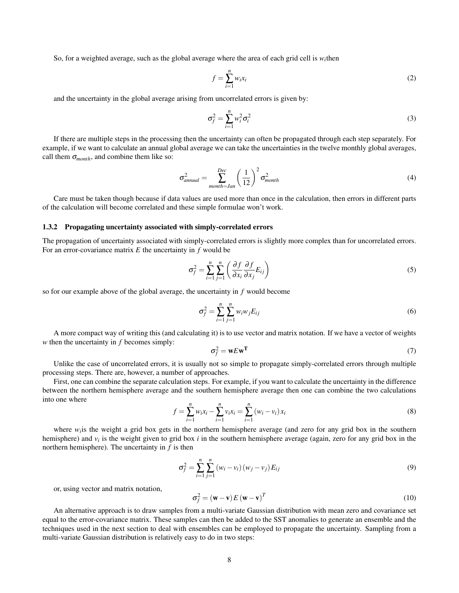So, for a weighted average, such as the global average where the area of each grid cell is  $w_i$ then

$$
f = \sum_{i=1}^{n} w_i x_i \tag{2}
$$

and the uncertainty in the global average arising from uncorrelated errors is given by:

$$
\sigma_f^2 = \sum_{i=1}^n w_i^2 \sigma_i^2 \tag{3}
$$

If there are multiple steps in the processing then the uncertainty can often be propagated through each step separately. For example, if we want to calculate an annual global average we can take the uncertainties in the twelve monthly global averages, call them  $\sigma_{month}$ , and combine them like so:

$$
\sigma_{annual}^2 = \sum_{month=Jan}^{Dec} \left(\frac{1}{12}\right)^2 \sigma_{month}^2 \tag{4}
$$

Care must be taken though because if data values are used more than once in the calculation, then errors in different parts of the calculation will become correlated and these simple formulae won't work.

#### <span id="page-7-0"></span>1.3.2 Propagating uncertainty associated with simply-correlated errors

The propagation of uncertainty associated with simply-correlated errors is slightly more complex than for uncorrelated errors. For an error-covariance matrix *E* the uncertainty in *f* would be

$$
\sigma_f^2 = \sum_{i=1}^n \sum_{j=1}^n \left( \frac{\partial f}{\partial x_i} \frac{\partial f}{\partial x_j} E_{ij} \right) \tag{5}
$$

so for our example above of the global average, the uncertainty in *f* would become

$$
\sigma_f^2 = \sum_{i=1}^n \sum_{j=1}^n w_i w_j E_{ij}
$$
 (6)

A more compact way of writing this (and calculating it) is to use vector and matrix notation. If we have a vector of weights *w* then the uncertainty in *f* becomes simply:

$$
\sigma_f^2 = \mathbf{w} E \mathbf{w}^T \tag{7}
$$

Unlike the case of uncorrelated errors, it is usually not so simple to propagate simply-correlated errors through multiple processing steps. There are, however, a number of approaches.

First, one can combine the separate calculation steps. For example, if you want to calculate the uncertainty in the difference between the northern hemisphere average and the southern hemisphere average then one can combine the two calculations into one where

$$
f = \sum_{i=1}^{n} w_i x_i - \sum_{i=1}^{n} v_i x_i = \sum_{i=1}^{n} (w_i - v_i) x_i
$$
 (8)

where  $w_i$  is the weight a grid box gets in the northern hemisphere average (and zero for any grid box in the southern hemisphere) and  $v_i$  is the weight given to grid box *i* in the southern hemisphere average (again, zero for any grid box in the northern hemisphere). The uncertainty in *f* is then

$$
\sigma_f^2 = \sum_{i=1}^n \sum_{j=1}^n (w_i - v_i) (w_j - v_j) E_{ij}
$$
\n(9)

or, using vector and matrix notation,

$$
\sigma_f^2 = (\mathbf{w} - \mathbf{v}) E (\mathbf{w} - \mathbf{v})^T
$$
 (10)

An alternative approach is to draw samples from a multi-variate Gaussian distribution with mean zero and covariance set equal to the error-covariance matrix. These samples can then be added to the SST anomalies to generate an ensemble and the techniques used in the next section to deal with ensembles can be employed to propagate the uncertainty. Sampling from a multi-variate Gaussian distribution is relatively easy to do in two steps: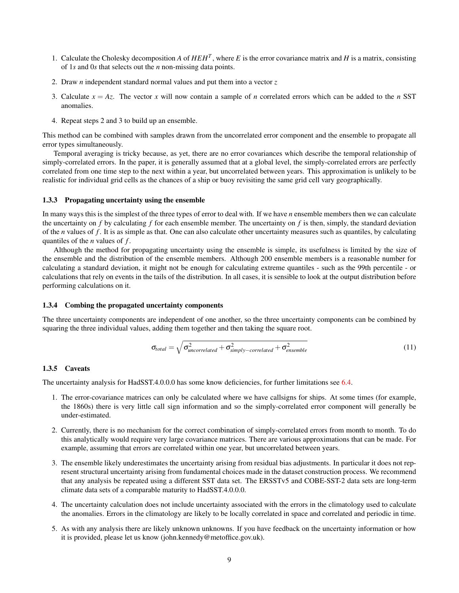- 1. Calculate the Cholesky decomposition *A* of  $HEH^T$ , where *E* is the error covariance matrix and *H* is a matrix, consisting of 1*s* and 0*s* that selects out the *n* non-missing data points.
- 2. Draw *n* independent standard normal values and put them into a vector *z*
- 3. Calculate  $x = Az$ . The vector x will now contain a sample of *n* correlated errors which can be added to the *n* SST anomalies.
- 4. Repeat steps 2 and 3 to build up an ensemble.

This method can be combined with samples drawn from the uncorrelated error component and the ensemble to propagate all error types simultaneously.

Temporal averaging is tricky because, as yet, there are no error covariances which describe the temporal relationship of simply-correlated errors. In the paper, it is generally assumed that at a global level, the simply-correlated errors are perfectly correlated from one time step to the next within a year, but uncorrelated between years. This approximation is unlikely to be realistic for individual grid cells as the chances of a ship or buoy revisiting the same grid cell vary geographically.

#### <span id="page-8-0"></span>1.3.3 Propagating uncertainty using the ensemble

In many ways this is the simplest of the three types of error to deal with. If we have *n* ensemble members then we can calculate the uncertainty on *f* by calculating *f* for each ensemble member. The uncertainty on *f* is then, simply, the standard deviation of the *n* values of *f* . It is as simple as that. One can also calculate other uncertainty measures such as quantiles, by calculating quantiles of the *n* values of *f* .

Although the method for propagating uncertainty using the ensemble is simple, its usefulness is limited by the size of the ensemble and the distribution of the ensemble members. Although 200 ensemble members is a reasonable number for calculating a standard deviation, it might not be enough for calculating extreme quantiles - such as the 99th percentile - or calculations that rely on events in the tails of the distribution. In all cases, it is sensible to look at the output distribution before performing calculations on it.

#### <span id="page-8-1"></span>1.3.4 Combing the propagated uncertainty components

The three uncertainty components are independent of one another, so the three uncertainty components can be combined by squaring the three individual values, adding them together and then taking the square root.

$$
\sigma_{total} = \sqrt{\sigma_{uncorrelated}^2 + \sigma_{simply-correlated}^2 + \sigma_{ensemble}^2}
$$
 (11)

#### <span id="page-8-2"></span>1.3.5 Caveats

The uncertainty analysis for HadSST.4.0.0.0 has some know deficiencies, for further limitations see [6.4.](#page-30-0)

- 1. The error-covariance matrices can only be calculated where we have callsigns for ships. At some times (for example, the 1860s) there is very little call sign information and so the simply-correlated error component will generally be under-estimated.
- 2. Currently, there is no mechanism for the correct combination of simply-correlated errors from month to month. To do this analytically would require very large covariance matrices. There are various approximations that can be made. For example, assuming that errors are correlated within one year, but uncorrelated between years.
- 3. The ensemble likely underestimates the uncertainty arising from residual bias adjustments. In particular it does not represent structural uncertainty arising from fundamental choices made in the dataset construction process. We recommend that any analysis be repeated using a different SST data set. The ERSSTv5 and COBE-SST-2 data sets are long-term climate data sets of a comparable maturity to HadSST.4.0.0.0.
- 4. The uncertainty calculation does not include uncertainty associated with the errors in the climatology used to calculate the anomalies. Errors in the climatology are likely to be locally correlated in space and correlated and periodic in time.
- 5. As with any analysis there are likely unknown unknowns. If you have feedback on the uncertainty information or how it is provided, please let us know (john.kennedy@metoffice.gov.uk).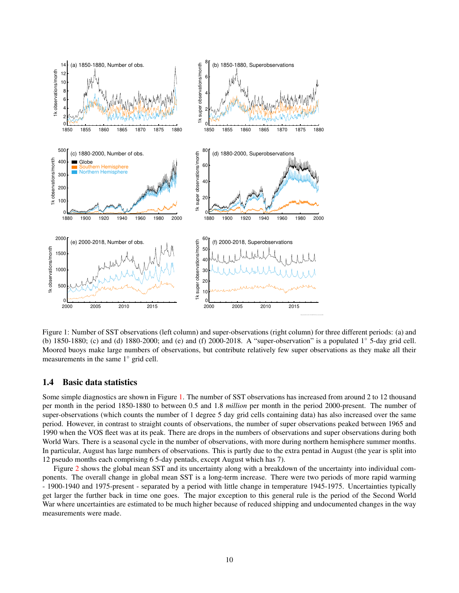

<span id="page-9-1"></span>Figure 1: Number of SST observations (left column) and super-observations (right column) for three different periods: (a) and (b) 1850-1880; (c) and (d) 1880-2000; and (e) and (f) 2000-2018. A "super-observation" is a populated 1◦ 5-day grid cell. Moored buoys make large numbers of observations, but contribute relatively few super observations as they make all their measurements in the same 1◦ grid cell.

# <span id="page-9-0"></span>1.4 Basic data statistics

Some simple diagnostics are shown in Figure [1.](#page-9-1) The number of SST observations has increased from around 2 to 12 thousand per month in the period 1850-1880 to between 0.5 and 1.8 *million* per month in the period 2000-present. The number of super-observations (which counts the number of 1 degree 5 day grid cells containing data) has also increased over the same period. However, in contrast to straight counts of observations, the number of super observations peaked between 1965 and 1990 when the VOS fleet was at its peak. There are drops in the numbers of observations and super observations during both World Wars. There is a seasonal cycle in the number of observations, with more during northern hemisphere summer months. In particular, August has large numbers of observations. This is partly due to the extra pentad in August (the year is split into 12 pseudo months each comprising 6 5-day pentads, except August which has 7).

Figure [2](#page-10-5) shows the global mean SST and its uncertainty along with a breakdown of the uncertainty into individual components. The overall change in global mean SST is a long-term increase. There were two periods of more rapid warming - 1900-1940 and 1975-present - separated by a period with little change in temperature 1945-1975. Uncertainties typically get larger the further back in time one goes. The major exception to this general rule is the period of the Second World War where uncertainties are estimated to be much higher because of reduced shipping and undocumented changes in the way measurements were made.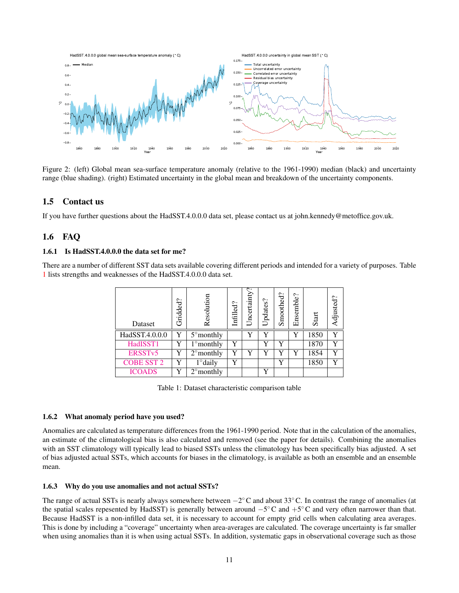

<span id="page-10-5"></span>Figure 2: (left) Global mean sea-surface temperature anomaly (relative to the 1961-1990) median (black) and uncertainty range (blue shading). (right) Estimated uncertainty in the global mean and breakdown of the uncertainty components.

# <span id="page-10-0"></span>1.5 Contact us

If you have further questions about the HadSST.4.0.0.0 data set, please contact us at john.kennedy@metoffice.gov.uk.

# <span id="page-10-1"></span>1.6 FAQ

### <span id="page-10-2"></span>1.6.1 Is HadSST.4.0.0.0 the data set for me?

There are a number of different SST data sets available covering different periods and intended for a variety of purposes. Table [1](#page-10-6) lists strengths and weaknesses of the HadSST.4.0.0.0 data set.

| Gridded?<br>Dataset |   | Resolution                     | Infilled? | ج<br>Uncertainty | Updates? | Smoothed? | Ensemble? | Start | Adjusted? |
|---------------------|---|--------------------------------|-----------|------------------|----------|-----------|-----------|-------|-----------|
| HadSST.4.0.0.0      | Y | $\overline{5}^{\circ}$ monthly |           | Y                | v        |           | Y         | 1850  | Y         |
| HadISST1            | v | $1^\circ$ monthly              | Y         |                  | v        | v         |           | 1870  | Y         |
| ERSST <sub>v5</sub> | Y | $2^{\circ}$ monthly            | Y         | Y                | v        | Y         | Y         | 1854  | Y         |
| <b>COBE SST 2</b>   | Y | $1^\circ$ daily                | Y         |                  |          | Y         |           | 1850  | Y         |
| <b>ICOADS</b>       | v | $2^{\circ}$ monthly            |           |                  | v        |           |           |       |           |

<span id="page-10-6"></span>Table 1: Dataset characteristic comparison table

#### <span id="page-10-3"></span>1.6.2 What anomaly period have you used?

Anomalies are calculated as temperature differences from the 1961-1990 period. Note that in the calculation of the anomalies, an estimate of the climatological bias is also calculated and removed (see the paper for details). Combining the anomalies with an SST climatology will typically lead to biased SSTs unless the climatology has been specifically bias adjusted. A set of bias adjusted actual SSTs, which accounts for biases in the climatology, is available as both an ensemble and an ensemble mean.

#### <span id="page-10-4"></span>1.6.3 Why do you use anomalies and not actual SSTs?

The range of actual SSTs is nearly always somewhere between  $-2^{\circ}$ C and about 33 $^{\circ}$ C. In contrast the range of anomalies (at the spatial scales repesented by HadSST) is generally between around  $-5^{\circ}$ C and  $+5^{\circ}$ C and very often narrower than that. Because HadSST is a non-infilled data set, it is necessary to account for empty grid cells when calculating area averages. This is done by including a "coverage" uncertainty when area-averages are calculated. The coverage uncertainty is far smaller when using anomalies than it is when using actual SSTs. In addition, systematic gaps in observational coverage such as those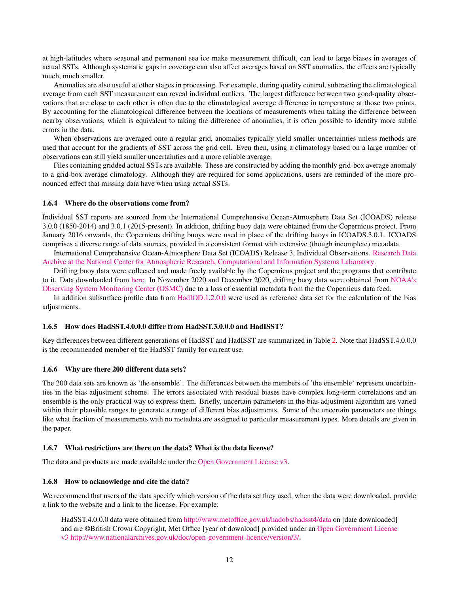at high-latitudes where seasonal and permanent sea ice make measurement difficult, can lead to large biases in averages of actual SSTs. Although systematic gaps in coverage can also affect averages based on SST anomalies, the effects are typically much, much smaller.

Anomalies are also useful at other stages in processing. For example, during quality control, subtracting the climatological average from each SST measurement can reveal individual outliers. The largest difference between two good-quality observations that are close to each other is often due to the climatological average difference in temperature at those two points. By accounting for the climatological difference between the locations of measurements when taking the difference between nearby observations, which is equivalent to taking the difference of anomalies, it is often possible to identify more subtle errors in the data.

When observations are averaged onto a regular grid, anomalies typically yield smaller uncertainties unless methods are used that account for the gradients of SST across the grid cell. Even then, using a climatology based on a large number of observations can still yield smaller uncertainties and a more reliable average.

Files containing gridded actual SSTs are available. These are constructed by adding the monthly grid-box average anomaly to a grid-box average climatology. Although they are required for some applications, users are reminded of the more pronounced effect that missing data have when using actual SSTs.

#### <span id="page-11-0"></span>1.6.4 Where do the observations come from?

Individual SST reports are sourced from the International Comprehensive Ocean-Atmosphere Data Set (ICOADS) release 3.0.0 (1850-2014) and 3.0.1 (2015-present). In addition, drifting buoy data were obtained from the Copernicus project. From January 2016 onwards, the Copernicus drifting buoys were used in place of the drifting buoys in ICOADS.3.0.1. ICOADS comprises a diverse range of data sources, provided in a consistent format with extensive (though incomplete) metadata.

International Comprehensive Ocean-Atmosphere Data Set (ICOADS) Release 3, Individual Observations. [Research Data](https://doi.org/10.5065/D6ZS2TR3) [Archive at the National Center for Atmospheric Research, Computational and Information Systems Laboratory.](https://doi.org/10.5065/D6ZS2TR3)

Drifting buoy data were collected and made freely available by the Copernicus project and the programs that contribute to it. Data downloaded from [here.](http://marine.copernicus.eu/services-portfolio/access-to-products/?option=com_csw&view=details&product_id=INSITU_GLO_NRT_OBSERVATIONS_013_030) In November 2020 and December 2020, drifting buoy data were obtained from [NOAA's](https://www.osmc.noaa.gov/) [Observing System Monitoring Center \(OSMC\)](https://www.osmc.noaa.gov/) due to a loss of essential metadata from the the Copernicus data feed.

In addition subsurface profile data from [HadIOD.1.2.0.0](https://agupubs.onlinelibrary.wiley.com/doi/10.1002/2014JC010053) were used as reference data set for the calculation of the bias adjustments.

#### <span id="page-11-1"></span>1.6.5 How does HadSST.4.0.0.0 differ from HadSST.3.0.0.0 and HadISST?

Key differences between different generations of HadSST and HadISST are summarized in Table [2.](#page-12-2) Note that HadSST.4.0.0.0 is the recommended member of the HadSST family for current use.

#### <span id="page-11-2"></span>1.6.6 Why are there 200 different data sets?

The 200 data sets are known as 'the ensemble'. The differences between the members of 'the ensemble' represent uncertainties in the bias adjustment scheme. The errors associated with residual biases have complex long-term correlations and an ensemble is the only practical way to express them. Briefly, uncertain parameters in the bias adjustment algorithm are varied within their plausible ranges to generate a range of different bias adjustments. Some of the uncertain parameters are things like what fraction of measurements with no metadata are assigned to particular measurement types. More details are given in the paper.

#### <span id="page-11-3"></span>1.6.7 What restrictions are there on the data? What is the data license?

The data and products are made available under the [Open Government License v3.](http://www.nationalarchives.gov.uk/doc/open-government-licence/version/3/)

#### <span id="page-11-4"></span>1.6.8 How to acknowledge and cite the data?

We recommend that users of the data specify which version of the data set they used, when the data were downloaded, provide a link to the website and a link to the license. For example:

HadSST.4.0.0.0 data were obtained from <http://www.metoffice.gov.uk/hadobs/hadsst4/data> on [date downloaded] and are ©British Crown Copyright, Met Office [year of download] provided under an [Open Government License](http://www.nationalarchives.gov.uk/doc/open-government-licence/version/3/) [v3](http://www.nationalarchives.gov.uk/doc/open-government-licence/version/3/) [http://www.nationalarchives.gov.uk/doc/open-government-licence/version/3/.](http://www.nationalarchives.gov.uk/doc/open-government-licence/version/3/)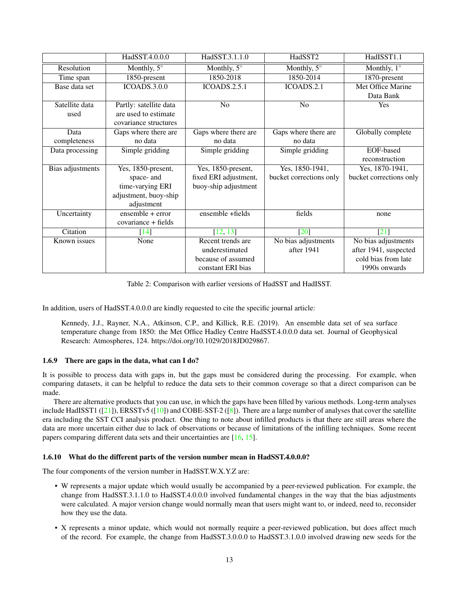|                  | HadSST.4.0.0.0                       | HadSST.3.1.1.0        | HadSST2                 | HadISST1.1              |
|------------------|--------------------------------------|-----------------------|-------------------------|-------------------------|
| Resolution       | Monthly, $5^\circ$                   | Monthly, $5^\circ$    | Monthly, $5^\circ$      | Monthly, $1^\circ$      |
| Time span        | 1850-present                         | 1850-2018             | 1850-2014               | 1870-present            |
| Base data set    | <b>ICOADS.3.0.0</b>                  | <b>ICOADS.2.5.1</b>   | ICOADS.2.1              | Met Office Marine       |
|                  |                                      |                       |                         | Data Bank               |
| Satellite data   | Partly: satellite data               | N <sub>o</sub>        | N <sub>o</sub>          | Yes                     |
| used             | are used to estimate                 |                       |                         |                         |
|                  | covariance structures                |                       |                         |                         |
| Data             | Gaps where there are                 | Gaps where there are  | Gaps where there are    | Globally complete       |
| completeness     | no data                              | no data               | no data                 |                         |
| Data processing  | Simple gridding                      | Simple gridding       | Simple gridding         | EOF-based               |
|                  |                                      |                       |                         | reconstruction          |
| Bias adjustments | Yes, 1850-present,                   | Yes, 1850-present,    | Yes, 1850-1941,         | Yes, 1870-1941,         |
|                  | space- and                           | fixed ERI adjustment, | bucket corrections only | bucket corrections only |
|                  | time-varying ERI                     | buoy-ship adjustment  |                         |                         |
|                  | adjustment, buoy-ship                |                       |                         |                         |
|                  | adjustment                           |                       |                         |                         |
| Uncertainty      | $\overline{\text{ensemble}}$ + error | ensemble +fields      | fields                  | none                    |
|                  | covariance + fields                  |                       |                         |                         |
| Citation         | $[14]$                               | [12, 13]              | $\lceil 20 \rceil$      | $\lceil 21 \rceil$      |
| Known issues     | None                                 | Recent trends are     | No bias adjustments     | No bias adjustments     |
|                  |                                      | underestimated        | after 1941              | after 1941, suspected   |
|                  |                                      | because of assumed    |                         | cold bias from late     |
|                  |                                      | constant ERI bias     |                         | 1990s onwards           |

<span id="page-12-2"></span>Table 2: Comparison with earlier versions of HadSST and HadISST.

In addition, users of HadSST.4.0.0.0 are kindly requested to cite the specific journal article:

Kennedy, J.J., Rayner, N.A., Atkinson, C.P., and Killick, R.E. (2019). An ensemble data set of sea surface temperature change from 1850: the Met Office Hadley Centre HadSST.4.0.0.0 data set. Journal of Geophysical Research: Atmospheres, 124. https://doi.org/10.1029/2018JD029867.

## <span id="page-12-0"></span>1.6.9 There are gaps in the data, what can I do?

It is possible to process data with gaps in, but the gaps must be considered during the processing. For example, when comparing datasets, it can be helpful to reduce the data sets to their common coverage so that a direct comparison can be made.

There are alternative products that you can use, in which the gaps have been filled by various methods. Long-term analyses include HadISST1  $([21])$  $([21])$  $([21])$ , ERSSTv5  $([10])$  $([10])$  $([10])$  and COBE-SST-2  $([8])$  $([8])$  $([8])$ . There are a large number of analyses that cover the satellite era including the SST CCI analysis product. One thing to note about infilled products is that there are still areas where the data are more uncertain either due to lack of observations or because of limitations of the infilling techniques. Some recent papers comparing different data sets and their uncertainties are [\[16,](#page-32-4) [15\]](#page-32-5).

#### <span id="page-12-1"></span>1.6.10 What do the different parts of the version number mean in HadSST.4.0.0.0?

The four components of the version number in HadSST.W.X.Y.Z are:

- W represents a major update which would usually be accompanied by a peer-reviewed publication. For example, the change from HadSST.3.1.1.0 to HadSST.4.0.0.0 involved fundamental changes in the way that the bias adjustments were calculated. A major version change would normally mean that users might want to, or indeed, need to, reconsider how they use the data.
- X represents a minor update, which would not normally require a peer-reviewed publication, but does affect much of the record. For example, the change from HadSST.3.0.0.0 to HadSST.3.1.0.0 involved drawing new seeds for the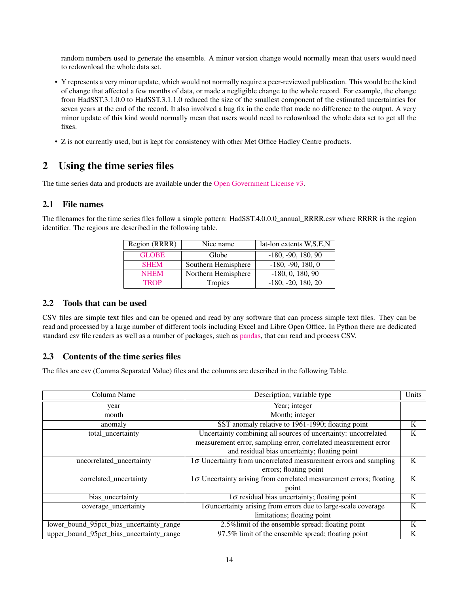random numbers used to generate the ensemble. A minor version change would normally mean that users would need to redownload the whole data set.

- Y represents a very minor update, which would not normally require a peer-reviewed publication. This would be the kind of change that affected a few months of data, or made a negligible change to the whole record. For example, the change from HadSST.3.1.0.0 to HadSST.3.1.1.0 reduced the size of the smallest component of the estimated uncertainties for seven years at the end of the record. It also involved a bug fix in the code that made no difference to the output. A very minor update of this kind would normally mean that users would need to redownload the whole data set to get all the fixes.
- Z is not currently used, but is kept for consistency with other Met Office Hadley Centre products.

# <span id="page-13-0"></span>2 Using the time series files

The time series data and products are available under the [Open Government License v3.](http://www.nationalarchives.gov.uk/doc/open-government-licence/version/3/)

# <span id="page-13-1"></span>2.1 File names

The filenames for the time series files follow a simple pattern: HadSST.4.0.0.0\_annual\_RRRR.csv where RRRR is the region identifier. The regions are described in the following table.

| Region (RRRR) | Nice name           | lat-lon extents W,S,E,N |  |
|---------------|---------------------|-------------------------|--|
| <b>GLOBE</b>  | Globe               | $-180, -90, 180, 90$    |  |
| <b>SHEM</b>   | Southern Hemisphere | $-180, -90, 180, 0$     |  |
| <b>NHEM</b>   | Northern Hemisphere | $-180, 0, 180, 90$      |  |
| <b>TROP</b>   | Tropics             | $-180, -20, 180, 20$    |  |

# <span id="page-13-2"></span>2.2 Tools that can be used

CSV files are simple text files and can be opened and read by any software that can process simple text files. They can be read and processed by a large number of different tools including Excel and Libre Open Office. In Python there are dedicated standard csv file readers as well as a number of packages, such as [pandas,](https://pandas.pydata.org/) that can read and process CSV.

# <span id="page-13-3"></span>2.3 Contents of the time series files

The files are csv (Comma Separated Value) files and the columns are described in the following Table.

| Column Name                              | Description; variable type                                                 | Units |
|------------------------------------------|----------------------------------------------------------------------------|-------|
| year                                     | Year; integer                                                              |       |
| month                                    | Month; integer                                                             |       |
| anomaly                                  | SST anomaly relative to 1961-1990; floating point                          | K     |
| total_uncertainty                        | Uncertainty combining all sources of uncertainty: uncorrelated             | K     |
|                                          | measurement error, sampling error, correlated measurement error            |       |
|                                          | and residual bias uncertainty; floating point                              |       |
| uncorrelated_uncertainty                 | $1\sigma$ Uncertainty from uncorrelated measurement errors and sampling    |       |
|                                          | errors; floating point                                                     |       |
| correlated_uncertainty                   | $1\sigma$ Uncertainty arising from correlated measurement errors; floating | K     |
|                                          | point                                                                      |       |
| bias_uncertainty                         | $1\sigma$ residual bias uncertainty; floating point                        | K     |
| coverage_uncertainty                     | $1\sigma$ uncertainty arising from errors due to large-scale coverage      | K     |
|                                          | limitations; floating point                                                |       |
| lower_bound_95pct_bias_uncertainty_range | 2.5% limit of the ensemble spread; floating point                          | K     |
| upper_bound_95pct_bias_uncertainty_range | 97.5% limit of the ensemble spread; floating point                         | K     |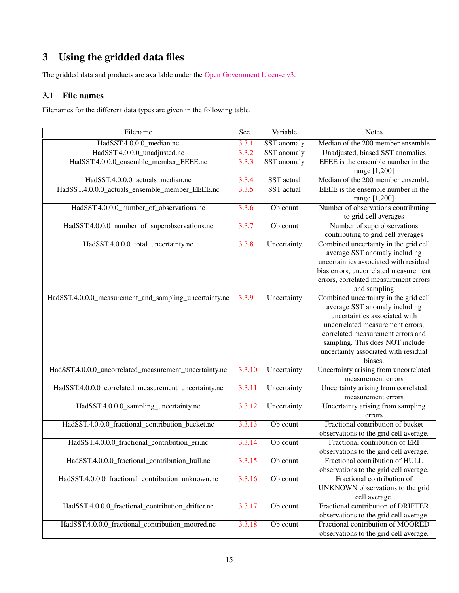# <span id="page-14-0"></span>3 Using the gridded data files

The gridded data and products are available under the [Open Government License v3.](http://www.nationalarchives.gov.uk/doc/open-government-licence/version/3/)

# <span id="page-14-1"></span>3.1 File names

Filenames for the different data types are given in the following table.

| Filename                                               | Sec.   | Variable    | <b>Notes</b>                                                                |
|--------------------------------------------------------|--------|-------------|-----------------------------------------------------------------------------|
| HadSST.4.0.0.0_median.nc                               | 3.3.1  | SST anomaly | Median of the 200 member ensemble                                           |
| HadSST.4.0.0.0_unadjusted.nc                           | 3.3.2  | SST anomaly | Unadjusted, biased SST anomalies                                            |
| HadSST.4.0.0.0_ensemble_member_EEEE.nc                 | 3.3.3  | SST anomaly | EEEE is the ensemble number in the                                          |
|                                                        |        |             | range [1,200]                                                               |
| HadSST.4.0.0.0_actuals_median.nc                       | 3.3.4  | SST actual  | Median of the 200 member ensemble                                           |
| HadSST.4.0.0.0_actuals_ensemble_member_EEEE.nc         | 3.3.5  | SST actual  | EEEE is the ensemble number in the                                          |
|                                                        |        |             | range [1,200]                                                               |
| HadSST.4.0.0.0_number_of_observations.nc               | 3.3.6  | Ob count    | Number of observations contributing                                         |
|                                                        |        |             | to grid cell averages                                                       |
| HadSST.4.0.0.0_number_of_superobservations.nc          | 3.3.7  | Ob count    | Number of superobservations                                                 |
|                                                        |        |             | contributing to grid cell averages                                          |
| HadSST.4.0.0.0_total_uncertainty.nc                    | 3.3.8  | Uncertainty | Combined uncertainty in the grid cell                                       |
|                                                        |        |             | average SST anomaly including                                               |
|                                                        |        |             | uncertainties associated with residual                                      |
|                                                        |        |             | bias errors, uncorrelated measurement                                       |
|                                                        |        |             | errors, correlated measurement errors                                       |
|                                                        |        |             | and sampling                                                                |
| HadSST.4.0.0.0_measurement_and_sampling_uncertainty.nc | 3.3.9  | Uncertainty | Combined uncertainty in the grid cell                                       |
|                                                        |        |             | average SST anomaly including                                               |
|                                                        |        |             | uncertainties associated with                                               |
|                                                        |        |             | uncorrelated measurement errors,                                            |
|                                                        |        |             | correlated measurement errors and                                           |
|                                                        |        |             | sampling. This does NOT include                                             |
|                                                        |        |             | uncertainty associated with residual                                        |
|                                                        |        |             | biases.                                                                     |
| HadSST.4.0.0.0_uncorrelated_measurement_uncertainty.nc | 3.3.10 | Uncertainty | Uncertainty arising from uncorrelated                                       |
|                                                        |        |             | measurement errors                                                          |
| HadSST.4.0.0.0_correlated_measurement_uncertainty.nc   | 3.3.11 | Uncertainty | Uncertainty arising from correlated                                         |
|                                                        |        |             | measurement errors                                                          |
| HadSST.4.0.0.0_sampling_uncertainty.nc                 | 3.3.12 | Uncertainty | Uncertainty arising from sampling                                           |
|                                                        |        |             | errors                                                                      |
| HadSST.4.0.0.0_fractional_contribution_bucket.nc       | 3.3.13 | Ob count    | Fractional contribution of bucket                                           |
|                                                        |        |             | observations to the grid cell average.                                      |
| HadSST.4.0.0.0_fractional_contribution_eri.nc          | 3.3.14 | Ob count    | Fractional contribution of ERI                                              |
|                                                        |        |             | observations to the grid cell average.                                      |
| HadSST.4.0.0.0_fractional_contribution_hull.nc         | 3.3.15 | Ob count    | Fractional contribution of HULL                                             |
|                                                        |        |             | observations to the grid cell average.                                      |
| HadSST.4.0.0.0_fractional_contribution_unknown.nc      | 3.3.16 | Ob count    | Fractional contribution of                                                  |
|                                                        |        |             | UNKNOWN observations to the grid                                            |
|                                                        |        |             | cell average.<br>Fractional contribution of DRIFTER                         |
| HadSST.4.0.0.0_fractional_contribution_drifter.nc      | 3.3.17 | Ob count    |                                                                             |
|                                                        |        |             | observations to the grid cell average.<br>Fractional contribution of MOORED |
| HadSST.4.0.0.0 fractional contribution moored.nc       | 3.3.18 | Ob count    |                                                                             |
|                                                        |        |             | observations to the grid cell average.                                      |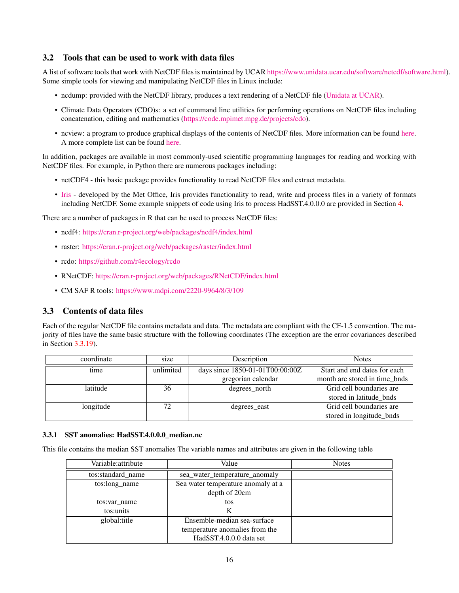# <span id="page-15-0"></span>3.2 Tools that can be used to work with data files

A list of software tools that work with NetCDF files is maintained by UCAR [https://www.unidata.ucar.edu/software/netcdf/software.html\)](http://www.unidata.ucar.edu/software/netcdf/software.html). Some simple tools for viewing and manipulating NetCDF files in Linux include:

- ncdump: provided with the NetCDF library, produces a text rendering of a NetCDF file [\(Unidata at UCAR\)](http://www.unidata.ucar.edu/software/netcdf/).
- Climate Data Operators (CDO)s: a set of command line utilities for performing operations on NetCDF files including concatenation, editing and mathematics [\(https://code.mpimet.mpg.de/projects/cdo\)](https://code.mpimet.mpg.de/projects/cdo).
- ncview: a program to produce graphical displays of the contents of NetCDF files. More information can be found [here.](http://meteora.ucsd.edu/~pierce/ncview_home_page.html) A more complete list can be found [here.](http://www.unidata.ucar.edu/software/netcdf/software.html)

In addition, packages are available in most commonly-used scientific programming languages for reading and working with NetCDF files. For example, in Python there are numerous packages including:

- netCDF4 this basic package provides functionality to read NetCDF files and extract metadata.
- [Iris](https://scitools.org.uk/iris/docs/latest/) developed by the Met Office, Iris provides functionality to read, write and process files in a variety of formats including NetCDF. Some example snippets of code using Iris to process HadSST.4.0.0.0 are provided in Section [4.](#page-22-0)

There are a number of packages in R that can be used to process NetCDF files:

- ncdf4: <https://cran.r-project.org/web/packages/ncdf4/index.html>
- raster: <https://cran.r-project.org/web/packages/raster/index.html>
- rcdo: <https://github.com/r4ecology/rcdo>
- RNetCDF: <https://cran.r-project.org/web/packages/RNetCDF/index.html>
- CM SAF R tools: <https://www.mdpi.com/2220-9964/8/3/109>

## <span id="page-15-1"></span>3.3 Contents of data files

Each of the regular NetCDF file contains metadata and data. The metadata are compliant with the CF-1.5 convention. The majority of files have the same basic structure with the following coordinates (The exception are the error covariances described in Section [3.3.19\)](#page-21-1).

| coordinate | size      | Description                     | <b>Notes</b>                  |
|------------|-----------|---------------------------------|-------------------------------|
| time       | unlimited | days since 1850-01-01T00:00:00Z | Start and end dates for each  |
|            |           | gregorian calendar              | month are stored in time_bnds |
| latitude   | 36        | degrees_north                   | Grid cell boundaries are      |
|            |           |                                 | stored in latitude bnds       |
| longitude  | 72        | degrees east                    | Grid cell boundaries are      |
|            |           |                                 | stored in longitude_bnds      |

#### <span id="page-15-2"></span>3.3.1 SST anomalies: HadSST.4.0.0.0\_median.nc

This file contains the median SST anomalies The variable names and attributes are given in the following table

| Variable: attribute | Value                              | <b>Notes</b> |
|---------------------|------------------------------------|--------------|
| tos:standard_name   | sea_water_temperature_anomaly      |              |
| tos:long_name       | Sea water temperature anomaly at a |              |
|                     | depth of 20cm                      |              |
| tos:var name        | tos                                |              |
| tos:units           | K                                  |              |
| global:title        | Ensemble-median sea-surface        |              |
|                     | temperature anomalies from the     |              |
|                     | HadSST.4.0.0.0 data set            |              |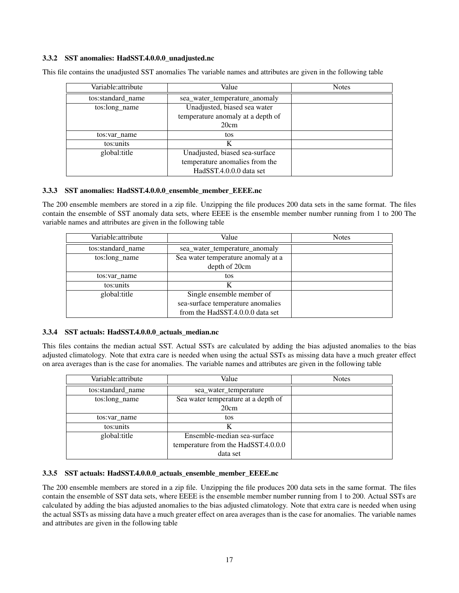### <span id="page-16-0"></span>3.3.2 SST anomalies: HadSST.4.0.0.0\_unadjusted.nc

| Variable: attribute | Value                             | <b>Notes</b> |
|---------------------|-----------------------------------|--------------|
| tos:standard_name   | sea water temperature anomaly     |              |
| tos:long name       | Unadjusted, biased sea water      |              |
|                     | temperature anomaly at a depth of |              |
|                     | 20cm                              |              |
| tos:var name        | tos                               |              |
| tos:units           | K                                 |              |
| global: title       | Unadjusted, biased sea-surface    |              |
|                     | temperature anomalies from the    |              |
|                     | HadSST.4.0.0.0 data set           |              |

This file contains the unadjusted SST anomalies The variable names and attributes are given in the following table

### <span id="page-16-1"></span>3.3.3 SST anomalies: HadSST.4.0.0.0\_ensemble\_member\_EEEE.nc

The 200 ensemble members are stored in a zip file. Unzipping the file produces 200 data sets in the same format. The files contain the ensemble of SST anomaly data sets, where EEEE is the ensemble member number running from 1 to 200 The variable names and attributes are given in the following table

| Variable: attribute | Value                              | <b>Notes</b> |
|---------------------|------------------------------------|--------------|
| tos:standard_name   | sea_water_temperature_anomaly      |              |
| tos:long name       | Sea water temperature anomaly at a |              |
|                     | depth of 20cm                      |              |
| tos:var name        | tos                                |              |
| tos:units           | K                                  |              |
| global: title       | Single ensemble member of          |              |
|                     | sea-surface temperature anomalies  |              |
|                     | from the HadSST.4.0.0.0 data set   |              |

#### <span id="page-16-2"></span>3.3.4 SST actuals: HadSST.4.0.0.0\_actuals\_median.nc

This files contains the median actual SST. Actual SSTs are calculated by adding the bias adjusted anomalies to the bias adjusted climatology. Note that extra care is needed when using the actual SSTs as missing data have a much greater effect on area averages than is the case for anomalies. The variable names and attributes are given in the following table

| Variable: attribute | Value                               | <b>Notes</b> |
|---------------------|-------------------------------------|--------------|
| tos:standard_name   | sea_water_temperature               |              |
| tos:long_name       | Sea water temperature at a depth of |              |
|                     | 20cm                                |              |
| tos:var name        | tos                                 |              |
| tos:units           |                                     |              |
| global:title        | Ensemble-median sea-surface         |              |
|                     | temperature from the HadSST.4.0.0.0 |              |
|                     | data set                            |              |

#### <span id="page-16-3"></span>3.3.5 SST actuals: HadSST.4.0.0.0\_actuals\_ensemble\_member\_EEEE.nc

The 200 ensemble members are stored in a zip file. Unzipping the file produces 200 data sets in the same format. The files contain the ensemble of SST data sets, where EEEE is the ensemble member number running from 1 to 200. Actual SSTs are calculated by adding the bias adjusted anomalies to the bias adjusted climatology. Note that extra care is needed when using the actual SSTs as missing data have a much greater effect on area averages than is the case for anomalies. The variable names and attributes are given in the following table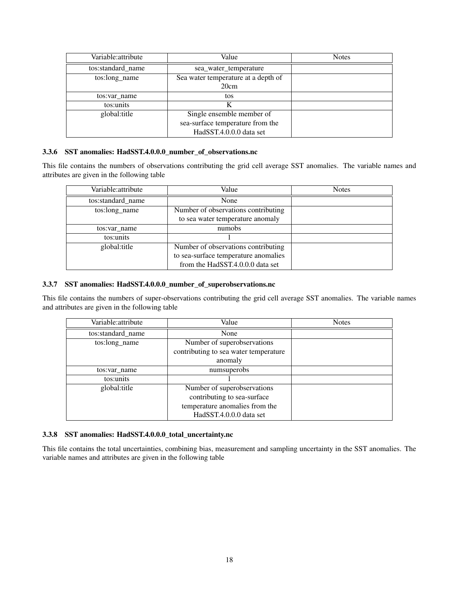| Variable: attribute | Value                                       | <b>Notes</b> |
|---------------------|---------------------------------------------|--------------|
| tos:standard_name   | sea_water_temperature                       |              |
| tos:long_name       | Sea water temperature at a depth of<br>20cm |              |
| tos:var name        | tos                                         |              |
| tos:units           | K                                           |              |
| global:title        | Single ensemble member of                   |              |
|                     | sea-surface temperature from the            |              |
|                     | HadSST.4.0.0.0 data set                     |              |

## <span id="page-17-0"></span>3.3.6 SST anomalies: HadSST.4.0.0.0\_number\_of\_observations.nc

This file contains the numbers of observations contributing the grid cell average SST anomalies. The variable names and attributes are given in the following table

| Variable: attribute | Value                                | <b>Notes</b> |
|---------------------|--------------------------------------|--------------|
| tos:standard_name   | None                                 |              |
| tos:long name       | Number of observations contributing  |              |
|                     | to sea water temperature anomaly     |              |
| tos: var name       | numobs                               |              |
| tos:units           |                                      |              |
| global: title       | Number of observations contributing  |              |
|                     | to sea-surface temperature anomalies |              |
|                     | from the HadSST.4.0.0.0 data set     |              |

### <span id="page-17-1"></span>3.3.7 SST anomalies: HadSST.4.0.0.0\_number\_of\_superobservations.nc

This file contains the numbers of super-observations contributing the grid cell average SST anomalies. The variable names and attributes are given in the following table

| Variable: attribute | Value                                 | <b>Notes</b> |
|---------------------|---------------------------------------|--------------|
| tos:standard_name   | None                                  |              |
| tos:long name       | Number of superobservations           |              |
|                     | contributing to sea water temperature |              |
|                     | anomaly                               |              |
| tos: var name       | numsuperobs                           |              |
| tos:units           |                                       |              |
| global: title       | Number of superobservations           |              |
|                     | contributing to sea-surface           |              |
|                     | temperature anomalies from the        |              |
|                     | HadSST.4.0.0.0 data set               |              |

#### <span id="page-17-2"></span>3.3.8 SST anomalies: HadSST.4.0.0.0\_total\_uncertainty.nc

This file contains the total uncertainties, combining bias, measurement and sampling uncertainty in the SST anomalies. The variable names and attributes are given in the following table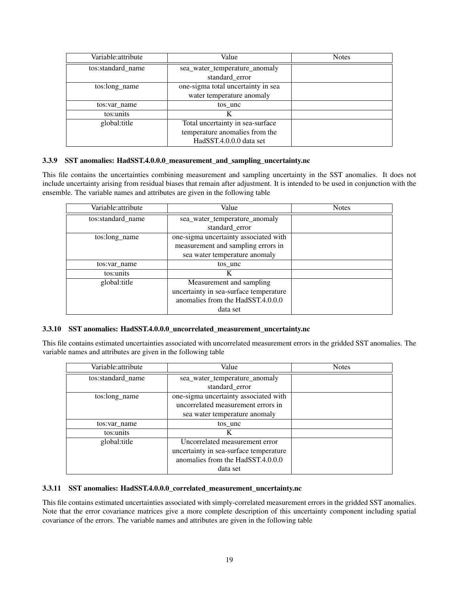| Variable:attribute | Value                              | <b>Notes</b> |
|--------------------|------------------------------------|--------------|
| tos:standard_name  | sea_water_temperature_anomaly      |              |
|                    | standard_error                     |              |
| tos:long_name      | one-sigma total uncertainty in sea |              |
|                    | water temperature anomaly          |              |
| tos: var name      | tos unc                            |              |
| tos:units          | K                                  |              |
| global:title       | Total uncertainty in sea-surface   |              |
|                    | temperature anomalies from the     |              |
|                    | HadSST.4.0.0.0 data set            |              |

#### <span id="page-18-0"></span>3.3.9 SST anomalies: HadSST.4.0.0.0\_measurement\_and\_sampling\_uncertainty.nc

This file contains the uncertainties combining measurement and sampling uncertainty in the SST anomalies. It does not include uncertainty arising from residual biases that remain after adjustment. It is intended to be used in conjunction with the ensemble. The variable names and attributes are given in the following table

| Variable: attribute | Value                                  | <b>Notes</b> |
|---------------------|----------------------------------------|--------------|
| tos:standard_name   | sea_water_temperature_anomaly          |              |
|                     | standard error                         |              |
| tos:long name       | one-sigma uncertainty associated with  |              |
|                     | measurement and sampling errors in     |              |
|                     | sea water temperature anomaly          |              |
| tos:var name        | tos unc                                |              |
| tos:units           | K                                      |              |
| global:title        | Measurement and sampling               |              |
|                     | uncertainty in sea-surface temperature |              |
|                     | anomalies from the HadSST.4.0.0.0      |              |
|                     | data set                               |              |

### <span id="page-18-1"></span>3.3.10 SST anomalies: HadSST.4.0.0.0\_uncorrelated\_measurement\_uncertainty.nc

This file contains estimated uncertainties associated with uncorrelated measurement errors in the gridded SST anomalies. The variable names and attributes are given in the following table

| Variable: attribute | Value                                  | <b>Notes</b> |
|---------------------|----------------------------------------|--------------|
| tos:standard_name   | sea water temperature anomaly          |              |
|                     | standard error                         |              |
| tos:long name       | one-sigma uncertainty associated with  |              |
|                     | uncorrelated measurement errors in     |              |
|                     | sea water temperature anomaly          |              |
| tos:var name        | tos unc                                |              |
| tos:units           | K                                      |              |
| global: title       | Uncorrelated measurement error         |              |
|                     | uncertainty in sea-surface temperature |              |
|                     | anomalies from the HadSST.4.0.0.0      |              |
|                     | data set                               |              |

#### <span id="page-18-2"></span>3.3.11 SST anomalies: HadSST.4.0.0.0\_correlated\_measurement\_uncertainty.nc

This file contains estimated uncertainties associated with simply-correlated measurement errors in the gridded SST anomalies. Note that the error covariance matrices give a more complete description of this uncertainty component including spatial covariance of the errors. The variable names and attributes are given in the following table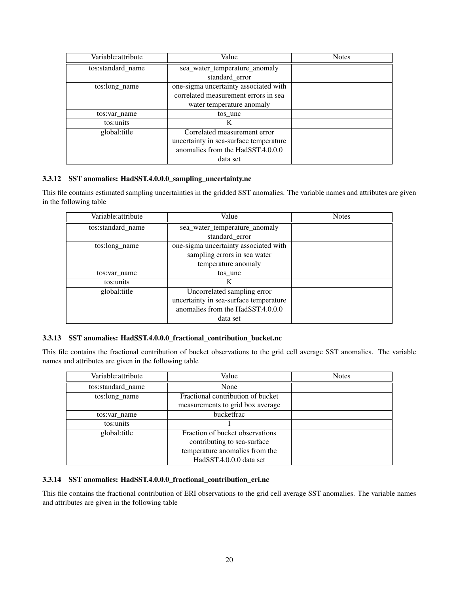| Variable: attribute | Value                                  | <b>Notes</b> |
|---------------------|----------------------------------------|--------------|
| tos:standard_name   | sea_water_temperature_anomaly          |              |
|                     | standard_error                         |              |
| tos:long_name       | one-sigma uncertainty associated with  |              |
|                     | correlated measurement errors in sea   |              |
|                     | water temperature anomaly              |              |
| tos:var name        | tos unc                                |              |
| tos:units           | K                                      |              |
| global: title       | Correlated measurement error           |              |
|                     | uncertainty in sea-surface temperature |              |
|                     | anomalies from the HadSST.4.0.0.0      |              |
|                     | data set                               |              |

### <span id="page-19-0"></span>3.3.12 SST anomalies: HadSST.4.0.0.0\_sampling\_uncertainty.nc

This file contains estimated sampling uncertainties in the gridded SST anomalies. The variable names and attributes are given in the following table

| Variable: attribute | Value                                  | <b>Notes</b> |
|---------------------|----------------------------------------|--------------|
| tos:standard_name   | sea water temperature anomaly          |              |
|                     | standard error                         |              |
| tos:long name       | one-sigma uncertainty associated with  |              |
|                     | sampling errors in sea water           |              |
|                     | temperature anomaly                    |              |
| tos: var name       | tos unc                                |              |
| tos:units           | K                                      |              |
| global: title       | Uncorrelated sampling error            |              |
|                     | uncertainty in sea-surface temperature |              |
|                     | anomalies from the HadSST.4.0.0.0      |              |
|                     | data set                               |              |

## <span id="page-19-1"></span>3.3.13 SST anomalies: HadSST.4.0.0.0\_fractional\_contribution\_bucket.nc

This file contains the fractional contribution of bucket observations to the grid cell average SST anomalies. The variable names and attributes are given in the following table

| Variable: attribute | Value                             | <b>Notes</b> |
|---------------------|-----------------------------------|--------------|
| tos:standard_name   | None                              |              |
| tos:long_name       | Fractional contribution of bucket |              |
|                     | measurements to grid box average  |              |
| tos:var name        | bucketfrac                        |              |
| tos:units           |                                   |              |
| global:title        | Fraction of bucket observations   |              |
|                     | contributing to sea-surface       |              |
|                     | temperature anomalies from the    |              |
|                     | HadSST.4.0.0.0 data set           |              |

#### <span id="page-19-2"></span>3.3.14 SST anomalies: HadSST.4.0.0.0\_fractional\_contribution\_eri.nc

This file contains the fractional contribution of ERI observations to the grid cell average SST anomalies. The variable names and attributes are given in the following table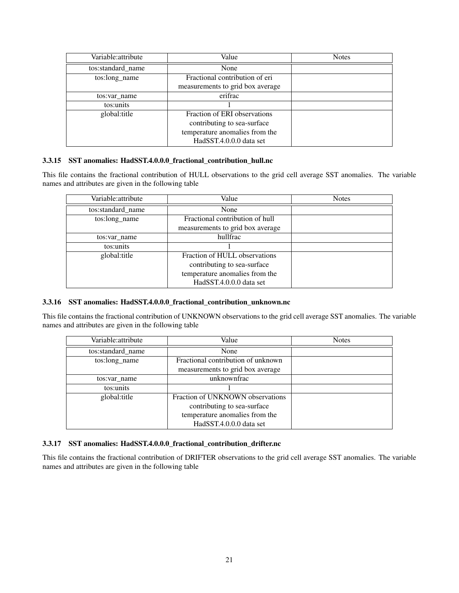| Variable: attribute | Value                            | <b>Notes</b> |
|---------------------|----------------------------------|--------------|
| tos:standard_name   | None                             |              |
| tos:long_name       | Fractional contribution of eri   |              |
|                     | measurements to grid box average |              |
| tos: var name       | erifrac                          |              |
| tos:units           |                                  |              |
| global:title        | Fraction of ERI observations     |              |
|                     | contributing to sea-surface      |              |
|                     | temperature anomalies from the   |              |
|                     | HadSST.4.0.0.0 data set          |              |

### <span id="page-20-0"></span>3.3.15 SST anomalies: HadSST.4.0.0.0\_fractional\_contribution\_hull.nc

This file contains the fractional contribution of HULL observations to the grid cell average SST anomalies. The variable names and attributes are given in the following table

| Variable: attribute | Value                            | <b>Notes</b> |
|---------------------|----------------------------------|--------------|
| tos:standard_name   | None                             |              |
| tos:long_name       | Fractional contribution of hull  |              |
|                     | measurements to grid box average |              |
| tos:var name        | hullfrac                         |              |
| tos:units           |                                  |              |
| global:title        | Fraction of HULL observations    |              |
|                     | contributing to sea-surface      |              |
|                     | temperature anomalies from the   |              |
|                     | HadSST.4.0.0.0 data set          |              |

#### <span id="page-20-1"></span>3.3.16 SST anomalies: HadSST.4.0.0.0\_fractional\_contribution\_unknown.nc

This file contains the fractional contribution of UNKNOWN observations to the grid cell average SST anomalies. The variable names and attributes are given in the following table

| Variable: attribute | Value                              | <b>Notes</b> |
|---------------------|------------------------------------|--------------|
| tos:standard_name   | None                               |              |
| tos:long_name       | Fractional contribution of unknown |              |
|                     | measurements to grid box average   |              |
| tos:var name        | unknownfrac                        |              |
| tos:units           |                                    |              |
| global:title        | Fraction of UNKNOWN observations   |              |
|                     | contributing to sea-surface        |              |
|                     | temperature anomalies from the     |              |
|                     | HadSST.4.0.0.0 data set            |              |

## <span id="page-20-2"></span>3.3.17 SST anomalies: HadSST.4.0.0.0\_fractional\_contribution\_drifter.nc

This file contains the fractional contribution of DRIFTER observations to the grid cell average SST anomalies. The variable names and attributes are given in the following table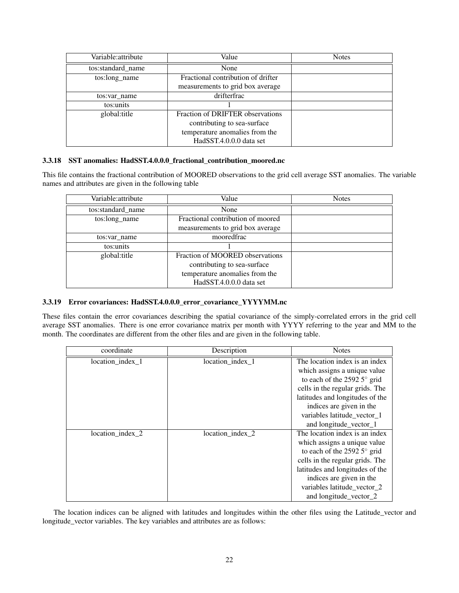| Variable: attribute | Value                              | <b>Notes</b> |
|---------------------|------------------------------------|--------------|
| tos:standard_name   | None                               |              |
| tos:long_name       | Fractional contribution of drifter |              |
|                     | measurements to grid box average   |              |
| tos:var name        | drifterfrac                        |              |
| tos:units           |                                    |              |
| global:title        | Fraction of DRIFTER observations   |              |
|                     | contributing to sea-surface        |              |
|                     | temperature anomalies from the     |              |
|                     | HadSST.4.0.0.0 data set            |              |

### <span id="page-21-0"></span>3.3.18 SST anomalies: HadSST.4.0.0.0\_fractional\_contribution\_moored.nc

This file contains the fractional contribution of MOORED observations to the grid cell average SST anomalies. The variable names and attributes are given in the following table

| Variable: attribute | Value                             | <b>Notes</b> |
|---------------------|-----------------------------------|--------------|
| tos:standard_name   | None                              |              |
| tos:long_name       | Fractional contribution of moored |              |
|                     | measurements to grid box average  |              |
| tos:var name        | mooredfrac                        |              |
| tos:units           |                                   |              |
| global:title        | Fraction of MOORED observations   |              |
|                     | contributing to sea-surface       |              |
|                     | temperature anomalies from the    |              |
|                     | HadSST.4.0.0.0 data set           |              |

#### <span id="page-21-1"></span>3.3.19 Error covariances: HadSST.4.0.0.0\_error\_covariance\_YYYYMM.nc

These files contain the error covariances describing the spatial covariance of the simply-correlated errors in the grid cell average SST anomalies. There is one error covariance matrix per month with YYYY referring to the year and MM to the month. The coordinates are different from the other files and are given in the following table.

| coordinate       | Description      | <b>Notes</b>                                                                                                                                                                                                                                                      |
|------------------|------------------|-------------------------------------------------------------------------------------------------------------------------------------------------------------------------------------------------------------------------------------------------------------------|
| location_index_1 | location_index_1 | The location index is an index<br>which assigns a unique value<br>to each of the 2592 $5^{\circ}$ grid<br>cells in the regular grids. The<br>latitudes and longitudes of the<br>indices are given in the<br>variables latitude_vector_1<br>and longitude_vector_1 |
| location_index_2 | location_index_2 | The location index is an index<br>which assigns a unique value<br>to each of the 2592 $5^{\circ}$ grid<br>cells in the regular grids. The<br>latitudes and longitudes of the<br>indices are given in the<br>variables latitude_vector_2<br>and longitude vector 2 |

The location indices can be aligned with latitudes and longitudes within the other files using the Latitude\_vector and longitude\_vector variables. The key variables and attributes are as follows: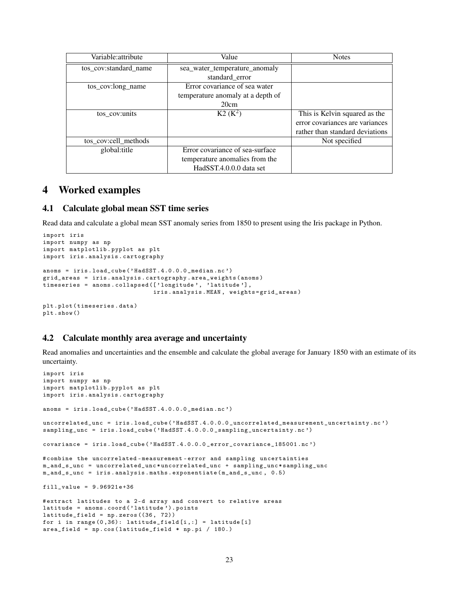| Variable: attribute   | Value                             | <b>Notes</b>                    |
|-----------------------|-----------------------------------|---------------------------------|
| tos cov:standard name | sea water temperature anomaly     |                                 |
|                       | standard_error                    |                                 |
| tos_cov:long_name     | Error covariance of sea water     |                                 |
|                       | temperature anomaly at a depth of |                                 |
|                       | 20cm                              |                                 |
| tos_cov:units         | $K2 (K^2)$                        | This is Kelvin squared as the   |
|                       |                                   | error covariances are variances |
|                       |                                   | rather than standard deviations |
| tos_cov:cell_methods  |                                   | Not specified                   |
| global: title         | Error covariance of sea-surface   |                                 |
|                       | temperature anomalies from the    |                                 |
|                       | HadSST.4.0.0.0 data set           |                                 |

# <span id="page-22-0"></span>4 Worked examples

#### <span id="page-22-1"></span>4.1 Calculate global mean SST time series

Read data and calculate a global mean SST anomaly series from 1850 to present using the Iris package in Python.

```
import iris
import numpy as np
import matplotlib . pyplot as plt
import iris . analysis . cartography
anoms = iris . load_cube ( ' HadSST .4.0.0.0 _median .nc ')
grid_areas = iris . analysis . cartography . area_weights ( anoms )
timeseries = anoms . collapsed ([ ' longitude ', ' latitude '] ,
                                  iris . analysis . MEAN , weights = grid_areas )
plt . plot ( timeseries . data )
plt . show ()
```
## <span id="page-22-2"></span>4.2 Calculate monthly area average and uncertainty

Read anomalies and uncertainties and the ensemble and calculate the global average for January 1850 with an estimate of its uncertainty.

```
import iris
import numpy as np
import matplotlib . pyplot as plt
import iris . analysis . cartography
anoms = iris . load_cube (' HadSST .4.0.0.0 _median .nc ')
uncorrelated_unc = iris . load_cube (' HadSST .4.0.0.0 _uncorrelated_measurement_uncertainty .nc ')
sampling_unc = iris.load_cube('HadSST.4.0.0.0_sampling_uncertainty.nc')
covariance = iris . load_cube ( ' HadSST .4.0.0.0 _error_covariance_185001 . nc ')
# combine the uncorrelated - measurement - error and sampling uncertainties
m_and_s_unc = uncorrelated_unc * uncorrelated_unc + sampling_unc * sampling_unc
m_and_s_unc = iris . analysis . maths . exponentiate ( m_and_s_unc , 0.5)
fill_value = 9.96921e + 36# extract latitudes to a 2 -d array and convert to relative areas
latitude = anoms.coord('latitude').points
latitude_field = np . zeros ((36 , 72))
for i in range (0, 36): latitude_field [i, :] = latitude [i]area_field = np . cos ( latitude_field * np . pi / 180.)
```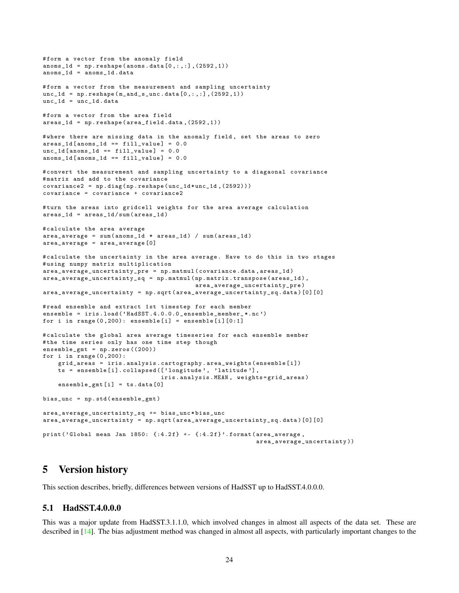```
# form a vector from the anomaly field
anoms_1d = np.reshape (anoms.data[0, :, :], (2592, 1))anoms_1d = annms_1d.data#form a vector from the measurement and sampling uncertainty
unc_1d = np.reshape(m_and_s_unc.data[0, :, :], (2592, 1))unc_1d = unc_1d. data
#form a vector from the area field
area_1d = np.reshape (area_field.data, (2592, 1))# where there are missing data in the anomaly field , set the areas to zero
\arccos_1d [anoms_1d == fill_value] = 0.0
unc_1d [anoms1d == fill_value] = 0.0
anoms_1d [anoms_1d == fill_value] = 0.0# convert the measurement and sampling uncertainty to a diagaonal covariance
#matrix and add to the covariance
covariance2 = np . diag ( np . reshape ( unc_1d * unc_1d ,(2592)))
covariance = covariance + covariance2
# turn the areas into gridcell weights for the area average calculation
area_1d = areas_1d / sum (areas_1d)# calculate the area average
area_average = sum(anns_1d * area_1d) / sum(area_1d)area_average = area_average [0]
#calculate the uncertainty in the area average. Have to do this in two stages
# using numpy matrix multiplication
area_average_uncertainty_pre = np . matmul ( covariance . data , areas_1d )
area_average_uncertainty_sq = np . matmul ( np . matrix . transpose ( areas_1d ),
                                          area_average_uncertainty_pre )
area_average_uncertainty = np . sqrt ( area_average_uncertainty_sq . data )[0][0]
# read ensemble and extract 1st timestep for each member
ensemble = iris.load ('HadSST.4.0.0.0_ensemble_member_*.nc')
for i in range (0, 200): ensemble [i] = ensemble [i] [0:1]# calculate the global area average timeseries for each ensemble member
# the time series only has one time step though
ensemble_gmt = np . zeros ((200))
for i in range (0, 200):
    grid_areas = iris . analysis . cartography . area_weights ( ensemble [i ])
    ts = ensemble [i]. collapsed (['longitude', 'latitude'],
                                 iris . analysis . MEAN , weights = grid_areas )
    ensemble_gmt [i] = ts.data[0]bias_unc = np . std ( ensemble_gmt )
area_average_uncertainty_sq += bias_unc * bias_unc
area_average_uncertainty = np . sqrt ( area_average_uncertainty_sq . data )[0][0]
print ('Global mean Jan 1850: {: 4.2 f} +- {: 4.2 f}'. format (area_average,
                                                           area_average_uncertainty ))
```
# <span id="page-23-0"></span>5 Version history

This section describes, briefly, differences between versions of HadSST up to HadSST.4.0.0.0.

## <span id="page-23-1"></span>5.1 HadSST.4.0.0.0

This was a major update from HadSST.3.1.1.0, which involved changes in almost all aspects of the data set. These are described in [\[14\]](#page-32-0). The bias adjustment method was changed in almost all aspects, with particularly important changes to the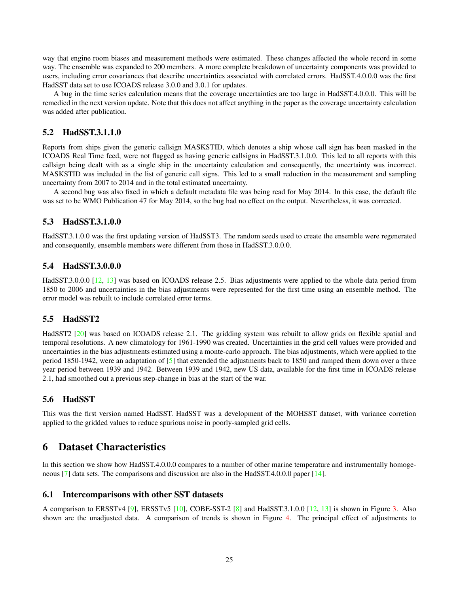way that engine room biases and measurement methods were estimated. These changes affected the whole record in some way. The ensemble was expanded to 200 members. A more complete breakdown of uncertainty components was provided to users, including error covariances that describe uncertainties associated with correlated errors. HadSST.4.0.0.0 was the first HadSST data set to use ICOADS release 3.0.0 and 3.0.1 for updates.

A bug in the time series calculation means that the coverage uncertainties are too large in HadSST.4.0.0.0. This will be remedied in the next version update. Note that this does not affect anything in the paper as the coverage uncertainty calculation was added after publication.

# <span id="page-24-0"></span>5.2 HadSST.3.1.1.0

Reports from ships given the generic callsign MASKSTID, which denotes a ship whose call sign has been masked in the ICOADS Real Time feed, were not flagged as having generic callsigns in HadSST.3.1.0.0. This led to all reports with this callsign being dealt with as a single ship in the uncertainty calculation and consequently, the uncertainty was incorrect. MASKSTID was included in the list of generic call signs. This led to a small reduction in the measurement and sampling uncertainty from 2007 to 2014 and in the total estimated uncertainty.

A second bug was also fixed in which a default metadata file was being read for May 2014. In this case, the default file was set to be WMO Publication 47 for May 2014, so the bug had no effect on the output. Nevertheless, it was corrected.

# <span id="page-24-1"></span>5.3 HadSST.3.1.0.0

HadSST.3.1.0.0 was the first updating version of HadSST3. The random seeds used to create the ensemble were regenerated and consequently, ensemble members were different from those in HadSST.3.0.0.0.

## <span id="page-24-2"></span>5.4 HadSST.3.0.0.0

HadSST.3.0.0.0 [\[12,](#page-31-1) [13\]](#page-32-1) was based on ICOADS release 2.5. Bias adjustments were applied to the whole data period from 1850 to 2006 and uncertainties in the bias adjustments were represented for the first time using an ensemble method. The error model was rebuilt to include correlated error terms.

## <span id="page-24-3"></span>5.5 HadSST2

HadSST2 [\[20\]](#page-32-2) was based on ICOADS release 2.1. The gridding system was rebuilt to allow grids on flexible spatial and temporal resolutions. A new climatology for 1961-1990 was created. Uncertainties in the grid cell values were provided and uncertainties in the bias adjustments estimated using a monte-carlo approach. The bias adjustments, which were applied to the period 1850-1942, were an adaptation of [\[5\]](#page-31-4) that extended the adjustments back to 1850 and ramped them down over a three year period between 1939 and 1942. Between 1939 and 1942, new US data, available for the first time in ICOADS release 2.1, had smoothed out a previous step-change in bias at the start of the war.

## <span id="page-24-4"></span>5.6 HadSST

This was the first version named HadSST. HadSST was a development of the MOHSST dataset, with variance corretion applied to the gridded values to reduce spurious noise in poorly-sampled grid cells.

# <span id="page-24-5"></span>6 Dataset Characteristics

In this section we show how HadSST.4.0.0.0 compares to a number of other marine temperature and instrumentally homogeneous [\[7\]](#page-31-5) data sets. The comparisons and discussion are also in the HadSST.4.0.0.0 paper [\[14\]](#page-32-0).

## <span id="page-24-6"></span>6.1 Intercomparisons with other SST datasets

A comparison to ERSSTv4 [\[9\]](#page-31-6), ERSSTv5 [\[10\]](#page-31-2), COBE-SST-2 [\[8\]](#page-31-3) and HadSST.3.1.0.0 [\[12,](#page-31-1) [13\]](#page-32-1) is shown in Figure [3.](#page-25-0) Also shown are the unadjusted data. A comparison of trends is shown in Figure [4.](#page-26-0) The principal effect of adjustments to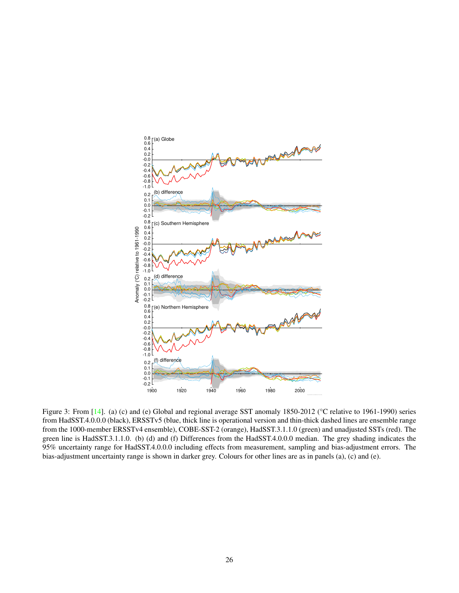

<span id="page-25-0"></span>Figure 3: From [\[14\]](#page-32-0). (a) (c) and (e) Global and regional average SST anomaly 1850-2012 (°C relative to 1961-1990) series from HadSST.4.0.0.0 (black), ERSSTv5 (blue, thick line is operational version and thin-thick dashed lines are ensemble range from the 1000-member ERSSTv4 ensemble), COBE-SST-2 (orange), HadSST.3.1.1.0 (green) and unadjusted SSTs (red). The green line is HadSST.3.1.1.0. (b) (d) and (f) Differences from the HadSST.4.0.0.0 median. The grey shading indicates the 95% uncertainty range for HadSST.4.0.0.0 including effects from measurement, sampling and bias-adjustment errors. The bias-adjustment uncertainty range is shown in darker grey. Colours for other lines are as in panels (a), (c) and (e).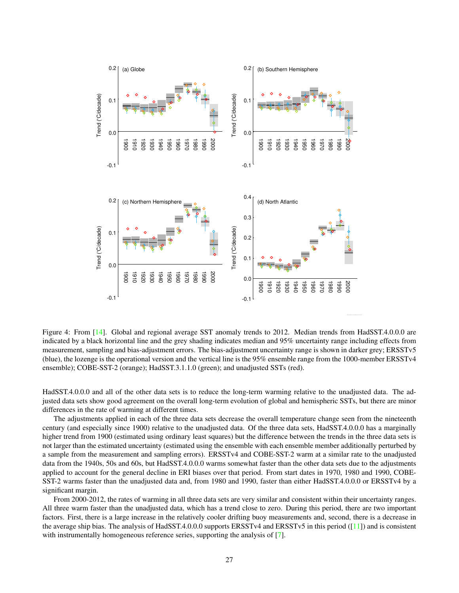

<span id="page-26-0"></span>Figure 4: From [\[14\]](#page-32-0). Global and regional average SST anomaly trends to 2012. Median trends from HadSST.4.0.0.0 are indicated by a black horizontal line and the grey shading indicates median and 95% uncertainty range including effects from measurement, sampling and bias-adjustment errors. The bias-adjustment uncertainty range is shown in darker grey; ERSSTv5 (blue), the lozenge is the operational version and the vertical line is the 95% ensemble range from the 1000-member ERSSTv4 ensemble); COBE-SST-2 (orange); HadSST.3.1.1.0 (green); and unadjusted SSTs (red).

HadSST.4.0.0.0 and all of the other data sets is to reduce the long-term warming relative to the unadjusted data. The adjusted data sets show good agreement on the overall long-term evolution of global and hemispheric SSTs, but there are minor differences in the rate of warming at different times.

The adjustments applied in each of the three data sets decrease the overall temperature change seen from the nineteenth century (and especially since 1900) relative to the unadjusted data. Of the three data sets, HadSST.4.0.0.0 has a marginally higher trend from 1900 (estimated using ordinary least squares) but the difference between the trends in the three data sets is not larger than the estimated uncertainty (estimated using the ensemble with each ensemble member additionally perturbed by a sample from the measurement and sampling errors). ERSSTv4 and COBE-SST-2 warm at a similar rate to the unadjusted data from the 1940s, 50s and 60s, but HadSST.4.0.0.0 warms somewhat faster than the other data sets due to the adjustments applied to account for the general decline in ERI biases over that period. From start dates in 1970, 1980 and 1990, COBE-SST-2 warms faster than the unadjusted data and, from 1980 and 1990, faster than either HadSST.4.0.0.0 or ERSSTv4 by a significant margin.

From 2000-2012, the rates of warming in all three data sets are very similar and consistent within their uncertainty ranges. All three warm faster than the unadjusted data, which has a trend close to zero. During this period, there are two important factors. First, there is a large increase in the relatively cooler drifting buoy measurements and, second, there is a decrease in the average ship bias. The analysis of HadSST.4.0.0.0 supports ERSSTv4 and ERSSTv5 in this period ([\[11\]](#page-31-7)) and is consistent with instrumentally homogeneous reference series, supporting the analysis of [\[7\]](#page-31-5).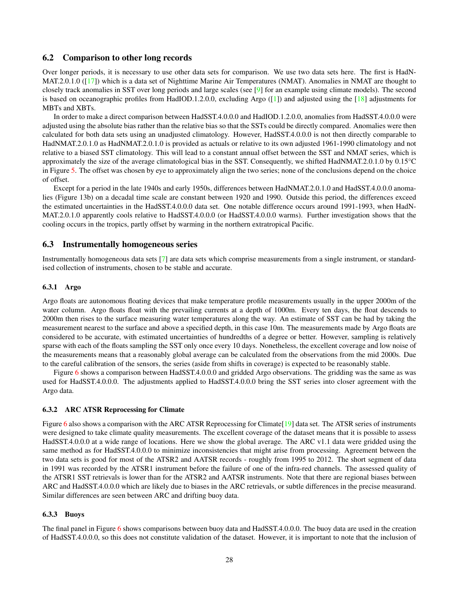### <span id="page-27-0"></span>6.2 Comparison to other long records

Over longer periods, it is necessary to use other data sets for comparison. We use two data sets here. The first is HadN-MAT.2.0.1.0 ([\[17\]](#page-32-6)) which is a data set of Nighttime Marine Air Temperatures (NMAT). Anomalies in NMAT are thought to closely track anomalies in SST over long periods and large scales (see [\[9\]](#page-31-6) for an example using climate models). The second is based on oceanographic profiles from HadIOD.1.2.0.0, excluding Argo ([\[1\]](#page-31-8)) and adjusted using the [\[18\]](#page-32-7) adjustments for MBTs and XBTs.

In order to make a direct comparison between HadSST.4.0.0.0 and HadIOD.1.2.0.0, anomalies from HadSST.4.0.0.0 were adjusted using the absolute bias rather than the relative bias so that the SSTs could be directly compared. Anomalies were then calculated for both data sets using an unadjusted climatology. However, HadSST.4.0.0.0 is not then directly comparable to HadNMAT.2.0.1.0 as HadNMAT.2.0.1.0 is provided as actuals or relative to its own adjusted 1961-1990 climatology and not relative to a biased SST climatology. This will lead to a constant annual offset between the SST and NMAT series, which is approximately the size of the average climatological bias in the SST. Consequently, we shifted HadNMAT.2.0.1.0 by 0.15°C in Figure [5.](#page-28-0) The offset was chosen by eye to approximately align the two series; none of the conclusions depend on the choice of offset.

Except for a period in the late 1940s and early 1950s, differences between HadNMAT.2.0.1.0 and HadSST.4.0.0.0 anomalies (Figure 13b) on a decadal time scale are constant between 1920 and 1990. Outside this period, the differences exceed the estimated uncertainties in the HadSST.4.0.0.0 data set. One notable difference occurs around 1991-1993, when HadN-MAT.2.0.1.0 apparently cools relative to HadSST.4.0.0.0 (or HadSST.4.0.0.0 warms). Further investigation shows that the cooling occurs in the tropics, partly offset by warming in the northern extratropical Pacific.

### <span id="page-27-1"></span>6.3 Instrumentally homogeneous series

Instrumentally homogeneous data sets [\[7\]](#page-31-5) are data sets which comprise measurements from a single instrument, or standardised collection of instruments, chosen to be stable and accurate.

#### <span id="page-27-2"></span>6.3.1 Argo

Argo floats are autonomous floating devices that make temperature profile measurements usually in the upper 2000m of the water column. Argo floats float with the prevailing currents at a depth of 1000m. Every ten days, the float descends to 2000m then rises to the surface measuring water temperatures along the way. An estimate of SST can be had by taking the measurement nearest to the surface and above a specified depth, in this case 10m. The measurements made by Argo floats are considered to be accurate, with estimated uncertainties of hundredths of a degree or better. However, sampling is relatively sparse with each of the floats sampling the SST only once every 10 days. Nonetheless, the excellent coverage and low noise of the measurements means that a reasonably global average can be calculated from the observations from the mid 2000s. Due to the careful calibration of the sensors, the series (aside from shifts in coverage) is expected to be reasonably stable.

Figure [6](#page-29-0) shows a comparison between HadSST.4.0.0.0 and gridded Argo observations. The gridding was the same as was used for HadSST.4.0.0.0. The adjustments applied to HadSST.4.0.0.0 bring the SST series into closer agreement with the Argo data.

#### <span id="page-27-3"></span>6.3.2 ARC ATSR Reprocessing for Climate

Figure [6](#page-29-0) also shows a comparison with the ARC ATSR Reprocessing for Climate<sup>[\[19\]](#page-32-8)</sup> data set. The ATSR series of instruments were designed to take climate quality measurements. The excellent coverage of the dataset means that it is possible to assess HadSST.4.0.0.0 at a wide range of locations. Here we show the global average. The ARC v1.1 data were gridded using the same method as for HadSST.4.0.0.0 to minimize inconsistencies that might arise from processing. Agreement between the two data sets is good for most of the ATSR2 and AATSR records - roughly from 1995 to 2012. The short segment of data in 1991 was recorded by the ATSR1 instrument before the failure of one of the infra-red channels. The assessed quality of the ATSR1 SST retrievals is lower than for the ATSR2 and AATSR instruments. Note that there are regional biases between ARC and HadSST.4.0.0.0 which are likely due to biases in the ARC retrievals, or subtle differences in the precise measurand. Similar differences are seen between ARC and drifting buoy data.

#### <span id="page-27-4"></span>6.3.3 Buoys

The final panel in Figure [6](#page-29-0) shows comparisons between buoy data and HadSST.4.0.0.0. The buoy data are used in the creation of HadSST.4.0.0.0, so this does not constitute validation of the dataset. However, it is important to note that the inclusion of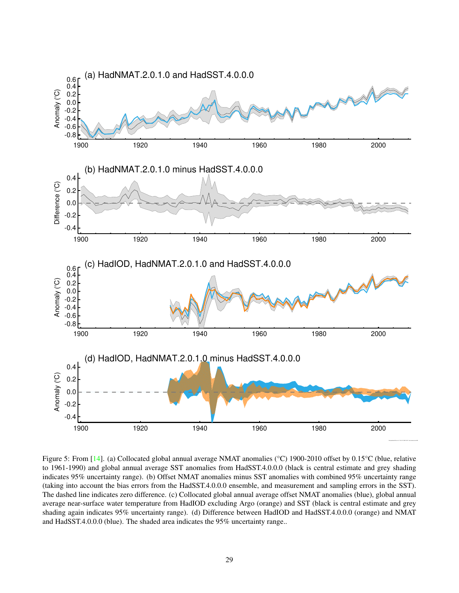

<span id="page-28-0"></span>Figure 5: From [\[14\]](#page-32-0). (a) Collocated global annual average NMAT anomalies (°C) 1900-2010 offset by 0.15°C (blue, relative to 1961-1990) and global annual average SST anomalies from HadSST.4.0.0.0 (black is central estimate and grey shading indicates 95% uncertainty range). (b) Offset NMAT anomalies minus SST anomalies with combined 95% uncertainty range (taking into account the bias errors from the HadSST.4.0.0.0 ensemble, and measurement and sampling errors in the SST). The dashed line indicates zero difference. (c) Collocated global annual average offset NMAT anomalies (blue), global annual average near-surface water temperature from HadIOD excluding Argo (orange) and SST (black is central estimate and grey shading again indicates 95% uncertainty range). (d) Difference between HadIOD and HadSST.4.0.0.0 (orange) and NMAT and HadSST.4.0.0.0 (blue). The shaded area indicates the 95% uncertainty range..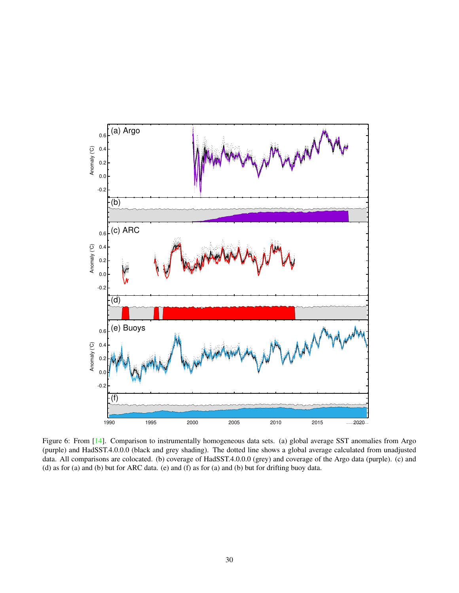

<span id="page-29-0"></span>Figure 6: From [\[14\]](#page-32-0). Comparison to instrumentally homogeneous data sets. (a) global average SST anomalies from Argo (purple) and HadSST.4.0.0.0 (black and grey shading). The dotted line shows a global average calculated from unadjusted data. All comparisons are colocated. (b) coverage of HadSST.4.0.0.0 (grey) and coverage of the Argo data (purple). (c) and (d) as for (a) and (b) but for ARC data. (e) and (f) as for (a) and (b) but for drifting buoy data.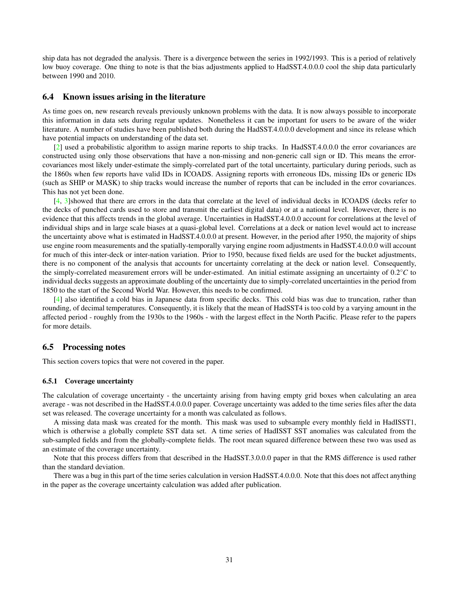ship data has not degraded the analysis. There is a divergence between the series in 1992/1993. This is a period of relatively low buoy coverage. One thing to note is that the bias adjustments applied to HadSST.4.0.0.0 cool the ship data particularly between 1990 and 2010.

#### <span id="page-30-0"></span>6.4 Known issues arising in the literature

As time goes on, new research reveals previously unknown problems with the data. It is now always possible to incorporate this information in data sets during regular updates. Nonetheless it can be important for users to be aware of the wider literature. A number of studies have been published both during the HadSST.4.0.0.0 development and since its release which have potential impacts on understanding of the data set.

[\[2\]](#page-31-9) used a probabilistic algorithm to assign marine reports to ship tracks. In HadSST.4.0.0.0 the error covariances are constructed using only those observations that have a non-missing and non-generic call sign or ID. This means the errorcovariances most likely under-estimate the simply-correlated part of the total uncertainty, particulary during periods, such as the 1860s when few reports have valid IDs in ICOADS. Assigning reports with erroneous IDs, missing IDs or generic IDs (such as SHIP or MASK) to ship tracks would increase the number of reports that can be included in the error covariances. This has not yet been done.

[\[4,](#page-31-10) [3\]](#page-31-11)showed that there are errors in the data that correlate at the level of individual decks in ICOADS (decks refer to the decks of punched cards used to store and transmit the earliest digital data) or at a national level. However, there is no evidence that this affects trends in the global average. Uncertainties in HadSST.4.0.0.0 account for correlations at the level of individual ships and in large scale biases at a quasi-global level. Correlations at a deck or nation level would act to increase the uncertainty above what is estimated in HadSST.4.0.0.0 at present. However, in the period after 1950, the majority of ships use engine room measurements and the spatially-temporally varying engine room adjustments in HadSST.4.0.0.0 will account for much of this inter-deck or inter-nation variation. Prior to 1950, because fixed fields are used for the bucket adjustments, there is no component of the analysis that accounts for uncertainty correlating at the deck or nation level. Consequently, the simply-correlated measurement errors will be under-estimated. An initial estimate assigning an uncertainty of 0.2°C to individual decks suggests an approximate doubling of the uncertainty due to simply-correlated uncertainties in the period from 1850 to the start of the Second World War. However, this needs to be confirmed.

[\[4\]](#page-31-10) also identified a cold bias in Japanese data from specific decks. This cold bias was due to truncation, rather than rounding, of decimal temperatures. Consequently, it is likely that the mean of HadSST4 is too cold by a varying amount in the affected period - roughly from the 1930s to the 1960s - with the largest effect in the North Pacific. Please refer to the papers for more details.

#### <span id="page-30-1"></span>6.5 Processing notes

This section covers topics that were not covered in the paper.

#### <span id="page-30-2"></span>6.5.1 Coverage uncertainty

The calculation of coverage uncertainty - the uncertainty arising from having empty grid boxes when calculating an area average - was not described in the HadSST.4.0.0.0 paper. Coverage uncertainty was added to the time series files after the data set was released. The coverage uncertainty for a month was calculated as follows.

A missing data mask was created for the month. This mask was used to subsample every monthly field in HadISST1, which is otherwise a globally complete SST data set. A time series of HadISST SST anomalies was calculated from the sub-sampled fields and from the globally-complete fields. The root mean squared difference between these two was used as an estimate of the coverage uncertainty.

Note that this process differs from that described in the HadSST.3.0.0.0 paper in that the RMS difference is used rather than the standard deviation.

<span id="page-30-3"></span>There was a bug in this part of the time series calculation in version HadSST.4.0.0.0. Note that this does not affect anything in the paper as the coverage uncertainty calculation was added after publication.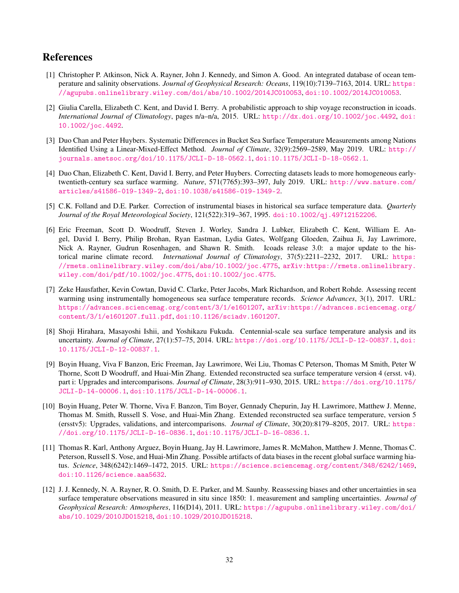# References

- <span id="page-31-8"></span>[1] Christopher P. Atkinson, Nick A. Rayner, John J. Kennedy, and Simon A. Good. An integrated database of ocean temperature and salinity observations. *Journal of Geophysical Research: Oceans*, 119(10):7139–7163, 2014. URL: [https:](https://agupubs.onlinelibrary.wiley.com/doi/abs/10.1002/2014JC010053) [//agupubs.onlinelibrary.wiley.com/doi/abs/10.1002/2014JC010053](https://agupubs.onlinelibrary.wiley.com/doi/abs/10.1002/2014JC010053), [doi:10.1002/2014JC010053](http://dx.doi.org/10.1002/2014JC010053).
- <span id="page-31-9"></span>[2] Giulia Carella, Elizabeth C. Kent, and David I. Berry. A probabilistic approach to ship voyage reconstruction in icoads. *International Journal of Climatology*, pages n/a–n/a, 2015. URL: <http://dx.doi.org/10.1002/joc.4492>, [doi:](http://dx.doi.org/10.1002/joc.4492) [10.1002/joc.4492](http://dx.doi.org/10.1002/joc.4492).
- <span id="page-31-11"></span>[3] Duo Chan and Peter Huybers. Systematic Differences in Bucket Sea Surface Temperature Measurements among Nations Identified Using a Linear-Mixed-Effect Method. *Journal of Climate*, 32(9):2569–2589, May 2019. URL: [http://](http://journals.ametsoc.org/doi/10.1175/JCLI-D-18-0562.1) [journals.ametsoc.org/doi/10.1175/JCLI-D-18-0562.1](http://journals.ametsoc.org/doi/10.1175/JCLI-D-18-0562.1), [doi:10.1175/JCLI-D-18-0562.1](http://dx.doi.org/10.1175/JCLI-D-18-0562.1).
- <span id="page-31-10"></span>[4] Duo Chan, Elizabeth C. Kent, David I. Berry, and Peter Huybers. Correcting datasets leads to more homogeneous earlytwentieth-century sea surface warming. *Nature*, 571(7765):393–397, July 2019. URL: [http://www.nature.com/](http://www.nature.com/articles/s41586-019-1349-2) [articles/s41586-019-1349-2](http://www.nature.com/articles/s41586-019-1349-2), [doi:10.1038/s41586-019-1349-2](http://dx.doi.org/10.1038/s41586-019-1349-2).
- <span id="page-31-4"></span>[5] C.K. Folland and D.E. Parker. Correction of instrumental biases in historical sea surface temperature data. *Quarterly Journal of the Royal Meteorological Society*, 121(522):319–367, 1995. [doi:10.1002/qj.49712152206](http://dx.doi.org/10.1002/qj.49712152206).
- <span id="page-31-0"></span>[6] Eric Freeman, Scott D. Woodruff, Steven J. Worley, Sandra J. Lubker, Elizabeth C. Kent, William E. Angel, David I. Berry, Philip Brohan, Ryan Eastman, Lydia Gates, Wolfgang Gloeden, Zaihua Ji, Jay Lawrimore, Nick A. Rayner, Gudrun Rosenhagen, and Shawn R. Smith. Icoads release 3.0: a major update to the historical marine climate record. *International Journal of Climatology*, 37(5):2211–2232, 2017. URL: [https:](https://rmets.onlinelibrary.wiley.com/doi/abs/10.1002/joc.4775) [//rmets.onlinelibrary.wiley.com/doi/abs/10.1002/joc.4775](https://rmets.onlinelibrary.wiley.com/doi/abs/10.1002/joc.4775), [arXiv:https://rmets.onlinelibrary.](http://arxiv.org/abs/https://rmets.onlinelibrary.wiley.com/doi/pdf/10.1002/joc.4775) [wiley.com/doi/pdf/10.1002/joc.4775](http://arxiv.org/abs/https://rmets.onlinelibrary.wiley.com/doi/pdf/10.1002/joc.4775), [doi:10.1002/joc.4775](http://dx.doi.org/10.1002/joc.4775).
- <span id="page-31-5"></span>[7] Zeke Hausfather, Kevin Cowtan, David C. Clarke, Peter Jacobs, Mark Richardson, and Robert Rohde. Assessing recent warming using instrumentally homogeneous sea surface temperature records. *Science Advances*, 3(1), 2017. URL: <https://advances.sciencemag.org/content/3/1/e1601207>, [arXiv:https://advances.sciencemag.org/](http://arxiv.org/abs/https://advances.sciencemag.org/content/3/1/e1601207.full.pdf) [content/3/1/e1601207.full.pdf](http://arxiv.org/abs/https://advances.sciencemag.org/content/3/1/e1601207.full.pdf), [doi:10.1126/sciadv.1601207](http://dx.doi.org/10.1126/sciadv.1601207).
- <span id="page-31-3"></span>[8] Shoji Hirahara, Masayoshi Ishii, and Yoshikazu Fukuda. Centennial-scale sea surface temperature analysis and its uncertainty. *Journal of Climate*, 27(1):57–75, 2014. URL: <https://doi.org/10.1175/JCLI-D-12-00837.1>, [doi:](http://dx.doi.org/10.1175/JCLI-D-12-00837.1) [10.1175/JCLI-D-12-00837.1](http://dx.doi.org/10.1175/JCLI-D-12-00837.1).
- <span id="page-31-6"></span>[9] Boyin Huang, Viva F Banzon, Eric Freeman, Jay Lawrimore, Wei Liu, Thomas C Peterson, Thomas M Smith, Peter W Thorne, Scott D Woodruff, and Huai-Min Zhang. Extended reconstructed sea surface temperature version 4 (ersst. v4). part i: Upgrades and intercomparisons. *Journal of Climate*, 28(3):911–930, 2015. URL: [https://doi.org/10.1175/](https://doi.org/10.1175/JCLI-D-14-00006.1) [JCLI-D-14-00006.1](https://doi.org/10.1175/JCLI-D-14-00006.1), [doi:10.1175/JCLI-D-14-00006.1](http://dx.doi.org/10.1175/JCLI-D-14-00006.1).
- <span id="page-31-2"></span>[10] Boyin Huang, Peter W. Thorne, Viva F. Banzon, Tim Boyer, Gennady Chepurin, Jay H. Lawrimore, Matthew J. Menne, Thomas M. Smith, Russell S. Vose, and Huai-Min Zhang. Extended reconstructed sea surface temperature, version 5 (ersstv5): Upgrades, validations, and intercomparisons. *Journal of Climate*, 30(20):8179–8205, 2017. URL: [https:](https://doi.org/10.1175/JCLI-D-16-0836.1) [//doi.org/10.1175/JCLI-D-16-0836.1](https://doi.org/10.1175/JCLI-D-16-0836.1), [doi:10.1175/JCLI-D-16-0836.1](http://dx.doi.org/10.1175/JCLI-D-16-0836.1).
- <span id="page-31-7"></span>[11] Thomas R. Karl, Anthony Arguez, Boyin Huang, Jay H. Lawrimore, James R. McMahon, Matthew J. Menne, Thomas C. Peterson, Russell S. Vose, and Huai-Min Zhang. Possible artifacts of data biases in the recent global surface warming hiatus. *Science*, 348(6242):1469–1472, 2015. URL: <https://science.sciencemag.org/content/348/6242/1469>, [doi:10.1126/science.aaa5632](http://dx.doi.org/10.1126/science.aaa5632).
- <span id="page-31-1"></span>[12] J. J. Kennedy, N. A. Rayner, R. O. Smith, D. E. Parker, and M. Saunby. Reassessing biases and other uncertainties in sea surface temperature observations measured in situ since 1850: 1. measurement and sampling uncertainties. *Journal of Geophysical Research: Atmospheres*, 116(D14), 2011. URL: [https://agupubs.onlinelibrary.wiley.com/doi/](https://agupubs.onlinelibrary.wiley.com/doi/abs/10.1029/2010JD015218) [abs/10.1029/2010JD015218](https://agupubs.onlinelibrary.wiley.com/doi/abs/10.1029/2010JD015218), [doi:10.1029/2010JD015218](http://dx.doi.org/10.1029/2010JD015218).